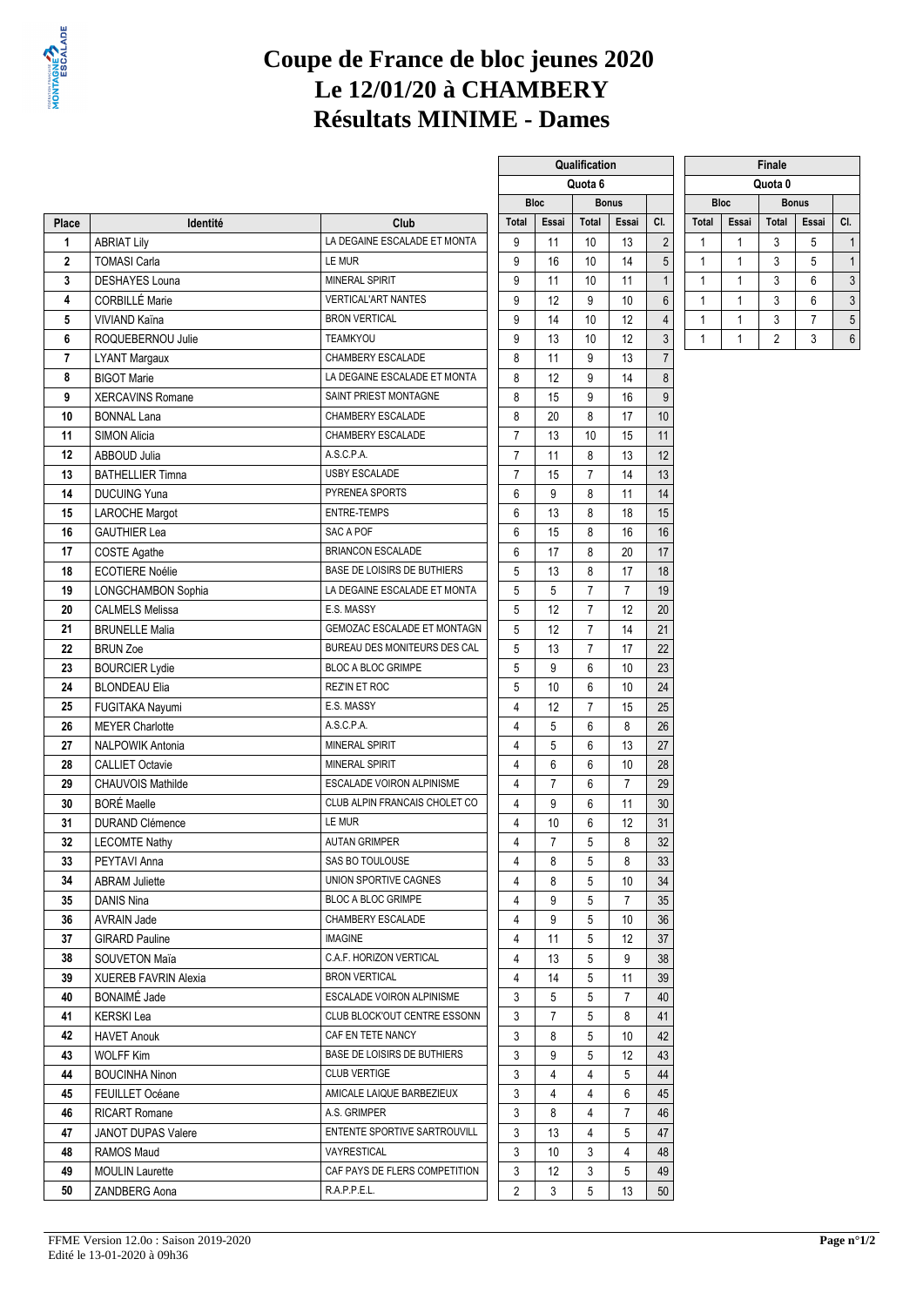

# **Coupe de France de bloc jeunes 2020 Le 12/01/20 à CHAMBERY Résultats MINIME - Dames**

|                  |                             |                                           |                |                | Quota o        |                |                  |              |              | Quota v        |                |                |
|------------------|-----------------------------|-------------------------------------------|----------------|----------------|----------------|----------------|------------------|--------------|--------------|----------------|----------------|----------------|
|                  |                             |                                           |                | <b>Bloc</b>    |                | <b>Bonus</b>   |                  |              | <b>Bloc</b>  |                | <b>Bonus</b>   |                |
| Place            | Identité                    | Club                                      | Total          | Essai          | <b>Total</b>   | Essai          | CI.              | <b>Total</b> | Essai        | Total          | Essai          | CI.            |
| 1                | <b>ABRIAT Lily</b>          | LA DEGAINE ESCALADE ET MONTA<br>9         |                | 11             | 10             | 13             | $\sqrt{2}$       | $\mathbf{1}$ | $\mathbf{1}$ | 3              | 5              | $\overline{1}$ |
| $\boldsymbol{2}$ | <b>TOMASI Carla</b>         | 9<br>LE MUR<br><b>MINERAL SPIRIT</b><br>9 |                | 16             | 10             | 14             | 5                | 1            | $\mathbf{1}$ | 3              | 5              | 1              |
| 3                | <b>DESHAYES Louna</b>       |                                           |                | 11             | 10             | 11             | $\mathbf{1}$     | 1            | $\mathbf{1}$ | 3              | 6              | 3              |
| 4                | CORBILLÉ Marie              | <b>VERTICAL'ART NANTES</b><br>9           |                | 12             | 9              | 10             | $\boldsymbol{6}$ | 1            | $\mathbf{1}$ | 3              | 6              | 3              |
| 5                | VIVIAND Kaïna               | <b>BRON VERTICAL</b>                      | 9              | 14             | 10             | 12             | $\overline{4}$   | $\mathbf{1}$ | $\mathbf{1}$ | 3              | $\overline{7}$ | 5              |
| 6                | ROQUEBERNOU Julie           | <b>TEAMKYOU</b>                           | 9              | 13             | 10             | 12             | 3                | $\mathbf{1}$ | $\mathbf{1}$ | $\overline{2}$ | 3              | 6              |
| $\overline{7}$   | <b>LYANT Margaux</b>        | CHAMBERY ESCALADE                         | 8              | 11             | 9              | 13             | $\overline{7}$   |              |              |                |                |                |
| 8                | <b>BIGOT Marie</b>          | LA DEGAINE ESCALADE ET MONTA              | 8              | 12             | 9              | 14             | 8                |              |              |                |                |                |
| 9                | <b>XERCAVINS Romane</b>     | SAINT PRIEST MONTAGNE                     | 8              | 15             | 9              | 16             | 9                |              |              |                |                |                |
| 10               | <b>BONNAL Lana</b>          | CHAMBERY ESCALADE                         | 8              | 20             | 8              | 17             | $10$             |              |              |                |                |                |
| 11               | <b>SIMON Alicia</b>         | CHAMBERY ESCALADE                         | $\overline{7}$ | 13             | 10             | 15             | 11               |              |              |                |                |                |
| 12               | ABBOUD Julia                | A.S.C.P.A.                                | $\overline{7}$ | 11             | 8              | 13             | 12               |              |              |                |                |                |
| 13               | <b>BATHELLIER Timna</b>     | USBY ESCALADE                             | $\overline{7}$ | 15             | $\overline{7}$ | 14             | 13               |              |              |                |                |                |
| 14               | <b>DUCUING Yuna</b>         | PYRENEA SPORTS                            | 6              | 9              | 8              | 11             | 14               |              |              |                |                |                |
| 15               | <b>LAROCHE Margot</b>       | <b>ENTRE-TEMPS</b>                        | 6              | 13             | 8              | 18             | 15               |              |              |                |                |                |
| 16               | <b>GAUTHIER Lea</b>         | SAC A POF                                 | 6              | 15             | 8              | 16             | 16               |              |              |                |                |                |
| 17               | <b>COSTE Agathe</b>         | <b>BRIANCON ESCALADE</b>                  | 6              | 17             | 8              | 20             | 17               |              |              |                |                |                |
| 18               | <b>ECOTIERE Noélie</b>      | <b>BASE DE LOISIRS DE BUTHIERS</b>        | 5              | 13             | 8              | 17             | 18               |              |              |                |                |                |
| 19               | LONGCHAMBON Sophia          | LA DEGAINE ESCALADE ET MONTA              | 5              | 5              | $\overline{7}$ | $\overline{7}$ | 19               |              |              |                |                |                |
| 20               | <b>CALMELS Melissa</b>      | E.S. MASSY                                | 5              | 12             | $\overline{7}$ | 12             | 20               |              |              |                |                |                |
| 21               | <b>BRUNELLE Malia</b>       | GEMOZAC ESCALADE ET MONTAGN               | 5              | 12             | $\overline{7}$ | 14             | 21               |              |              |                |                |                |
| 22               | <b>BRUN Zoe</b>             | BUREAU DES MONITEURS DES CAL              | 5              | 13             | $\overline{7}$ | 17             | 22               |              |              |                |                |                |
| 23               | <b>BOURCIER Lydie</b>       | <b>BLOC A BLOC GRIMPE</b>                 | 5              | 9              | 6              | 10             | 23               |              |              |                |                |                |
| 24               | <b>BLONDEAU Elia</b>        | <b>REZ'IN ET ROC</b>                      | 5              | 10             | 6              | 10             | 24               |              |              |                |                |                |
| 25               | FUGITAKA Nayumi             | E.S. MASSY                                | $\overline{4}$ | 12             | $\overline{7}$ | 15             | 25               |              |              |                |                |                |
| 26               | <b>MEYER Charlotte</b>      | A.S.C.P.A.                                | 4              | 5              | 6              | 8              | 26               |              |              |                |                |                |
| 27               | <b>NALPOWIK Antonia</b>     | <b>MINERAL SPIRIT</b>                     | 4              | 5              | 6              | 13             | 27               |              |              |                |                |                |
| 28               | <b>CALLIET Octavie</b>      | <b>MINERAL SPIRIT</b>                     | 4              | 6              | 6              | 10             | 28               |              |              |                |                |                |
| 29               | <b>CHAUVOIS Mathilde</b>    | ESCALADE VOIRON ALPINISME                 | 4              | $\overline{7}$ | 6              | $\overline{7}$ | 29               |              |              |                |                |                |
| 30               | <b>BORÉ Maelle</b>          | CLUB ALPIN FRANCAIS CHOLET CO             | 4              | 9              | 6              | 11             | 30               |              |              |                |                |                |
| 31               | <b>DURAND Clémence</b>      | LE MUR                                    | 4              | 10             | 6              | 12             | 31               |              |              |                |                |                |
| 32               | <b>LECOMTE Nathy</b>        | <b>AUTAN GRIMPER</b>                      | $\overline{4}$ | $\overline{7}$ | 5              | 8              | 32               |              |              |                |                |                |
| 33               | PEYTAVI Anna                | SAS BO TOULOUSE                           | 4              | 8              | 5              | 8              | 33               |              |              |                |                |                |
| 34               | <b>ABRAM Juliette</b>       | UNION SPORTIVE CAGNES                     | 4              | 8              | 5 <sup>5</sup> | $10\,$         | 34               |              |              |                |                |                |
| 35               | DANIS Nina                  | <b>BLOC A BLOC GRIMPE</b>                 | 4              | 9              | 5              | $\overline{7}$ | 35               |              |              |                |                |                |
| 36               | <b>AVRAIN Jade</b>          | CHAMBERY ESCALADE                         | 4              | 9              | 5              | 10             | 36               |              |              |                |                |                |
| 37               | <b>GIRARD Pauline</b>       | <b>IMAGINE</b>                            | 4              | 11             | 5              | 12             | 37               |              |              |                |                |                |
| 38               | <b>SOUVETON Maïa</b>        | C.A.F. HORIZON VERTICAL                   | 4              | 13             | 5              | 9              | 38               |              |              |                |                |                |
| 39               | <b>XUEREB FAVRIN Alexia</b> | <b>BRON VERTICAL</b>                      | 4              | 14             | 5              | 11             | 39               |              |              |                |                |                |
| 40               | <b>BONAIMÉ Jade</b>         | ESCALADE VOIRON ALPINISME                 | 3              | 5              | 5              | 7              | 40               |              |              |                |                |                |
| 41               | <b>KERSKI Lea</b>           | CLUB BLOCK'OUT CENTRE ESSONN              | 3              | 7              | 5              | 8              | 41               |              |              |                |                |                |
| 42               | <b>HAVET Anouk</b>          | CAF EN TETE NANCY                         | 3              | 8              | 5              | 10             | 42               |              |              |                |                |                |
| 43               | <b>WOLFF Kim</b>            | BASE DE LOISIRS DE BUTHIERS               | 3              | 9              | 5              | 12             | 43               |              |              |                |                |                |
| 44               | <b>BOUCINHA Ninon</b>       | <b>CLUB VERTIGE</b>                       | 3              | 4              | 4              | 5              | 44               |              |              |                |                |                |
| 45               | <b>FEUILLET Océane</b>      | AMICALE LAIQUE BARBEZIEUX                 | 3              | 4              | 4              | 6              | 45               |              |              |                |                |                |
| 46               | <b>RICART Romane</b>        | A.S. GRIMPER                              | 3              | 8              | 4              | 7              | 46               |              |              |                |                |                |
| 47               | JANOT DUPAS Valere          | ENTENTE SPORTIVE SARTROUVILL              | 3              | 13             | 4              | 5              | 47               |              |              |                |                |                |
| 48               | RAMOS Maud                  | VAYRESTICAL                               | 3              | 10             | 3              | 4              | 48               |              |              |                |                |                |
| 49               | <b>MOULIN Laurette</b>      | CAF PAYS DE FLERS COMPETITION             | 3              | 12             | 3              | 5              | 49               |              |              |                |                |                |
| 50               | ZANDBERG Aona               | R.A.P.P.E.L.                              | $\overline{2}$ | 3              | 5              | 13             | 50               |              |              |                |                |                |
|                  |                             |                                           |                |                |                |                |                  |              |              |                |                |                |

|             |       | Qualification |                |                |              |             | Finale         |              |
|-------------|-------|---------------|----------------|----------------|--------------|-------------|----------------|--------------|
|             |       | Quota 6       |                |                |              |             | Quota 0        |              |
| <b>Bloc</b> |       |               | <b>Bonus</b>   |                |              | <b>Bloc</b> |                | <b>Bonus</b> |
| ıl          | Essai | Total         | Essai          | CI.            | Total        | Essai       | Total          | E            |
|             | 11    | 10            | 13             | $\overline{2}$ | 1            | 1           | 3              |              |
|             | 16    | 10            | 14             | 5              | 1            | 1           | 3              |              |
|             | 11    | 10            | 11             | $\mathbf{1}$   | 1            | 1           | 3              |              |
|             | 12    | 9             | 10             | 6              | 1            | 1           | 3              |              |
|             | 14    | 10            | 12             | 4              | $\mathbf{1}$ | 1           | 3              |              |
|             | 13    | 10            | 12             | 3              | 1            | 1           | $\overline{c}$ |              |
|             | 11    | 9             | 13             | 7              |              |             |                |              |
|             | 12    | 9             | 14             | 8              |              |             |                |              |
|             | 15    | 9             | 16             | 9              |              |             |                |              |
|             | 20    | 8             | 17             | 10             |              |             |                |              |
|             | 13    | 10            | 15             | 11             |              |             |                |              |
|             | 11    | 8             | 13             | 12             |              |             |                |              |
|             | 15    | 7             | 14             | 13             |              |             |                |              |
|             | 9     | 8             | 11             | 14             |              |             |                |              |
|             | 13    | 8             | 18             | 15             |              |             |                |              |
|             | 15    | 8             | 16             | 16             |              |             |                |              |
|             | 17    | 8             | 20             | 17             |              |             |                |              |
|             | 13    | 8             | 17             | 18             |              |             |                |              |
|             | 5     | 7             | $\overline{7}$ | 19             |              |             |                |              |
|             | 12    | 7             | 12             | 20             |              |             |                |              |
|             | 12    | 7             | 14             | 21             |              |             |                |              |
|             | 13    | 7             | 17             | 22             |              |             |                |              |
|             | 9     | 6             | 10             | 23             |              |             |                |              |
|             | 10    | 6             | 10             | 24             |              |             |                |              |
|             | 12    | 7             | 15             | 25             |              |             |                |              |
|             | 5     | 6             | 8              | 26             |              |             |                |              |
|             | 5     | 6             | 13             | 27             |              |             |                |              |
|             | 6     | 6             | 10             | 28             |              |             |                |              |
|             | 7     | 6             | 7              | 29             |              |             |                |              |
|             | 9     | 6             | 11             | 30             |              |             |                |              |
|             | 10    | 6             | 12             | 31             |              |             |                |              |
|             | 7     | 5             | 8              | 32             |              |             |                |              |
|             | 8     | 5             | 8              | 33             |              |             |                |              |
|             | 8     | 5             | 10             | 34             |              |             |                |              |
|             | 9     | 5             | 7              | 35             |              |             |                |              |

|              | <b>Finale</b> |                |       |     |  |  |  |  |  |  |  |  |
|--------------|---------------|----------------|-------|-----|--|--|--|--|--|--|--|--|
|              |               | Quota 0        |       |     |  |  |  |  |  |  |  |  |
| <b>Bloc</b>  | <b>Bonus</b>  |                |       |     |  |  |  |  |  |  |  |  |
| <b>Total</b> | Essai         | <b>Total</b>   | Essai | CI. |  |  |  |  |  |  |  |  |
|              |               | 3              | 5     |     |  |  |  |  |  |  |  |  |
|              |               | 3              | 5     |     |  |  |  |  |  |  |  |  |
|              |               | 3              | 6     | 3   |  |  |  |  |  |  |  |  |
|              |               | 3              | 6     | 3   |  |  |  |  |  |  |  |  |
|              |               | 3              |       | 5   |  |  |  |  |  |  |  |  |
|              |               | $\overline{2}$ | 3     | 6   |  |  |  |  |  |  |  |  |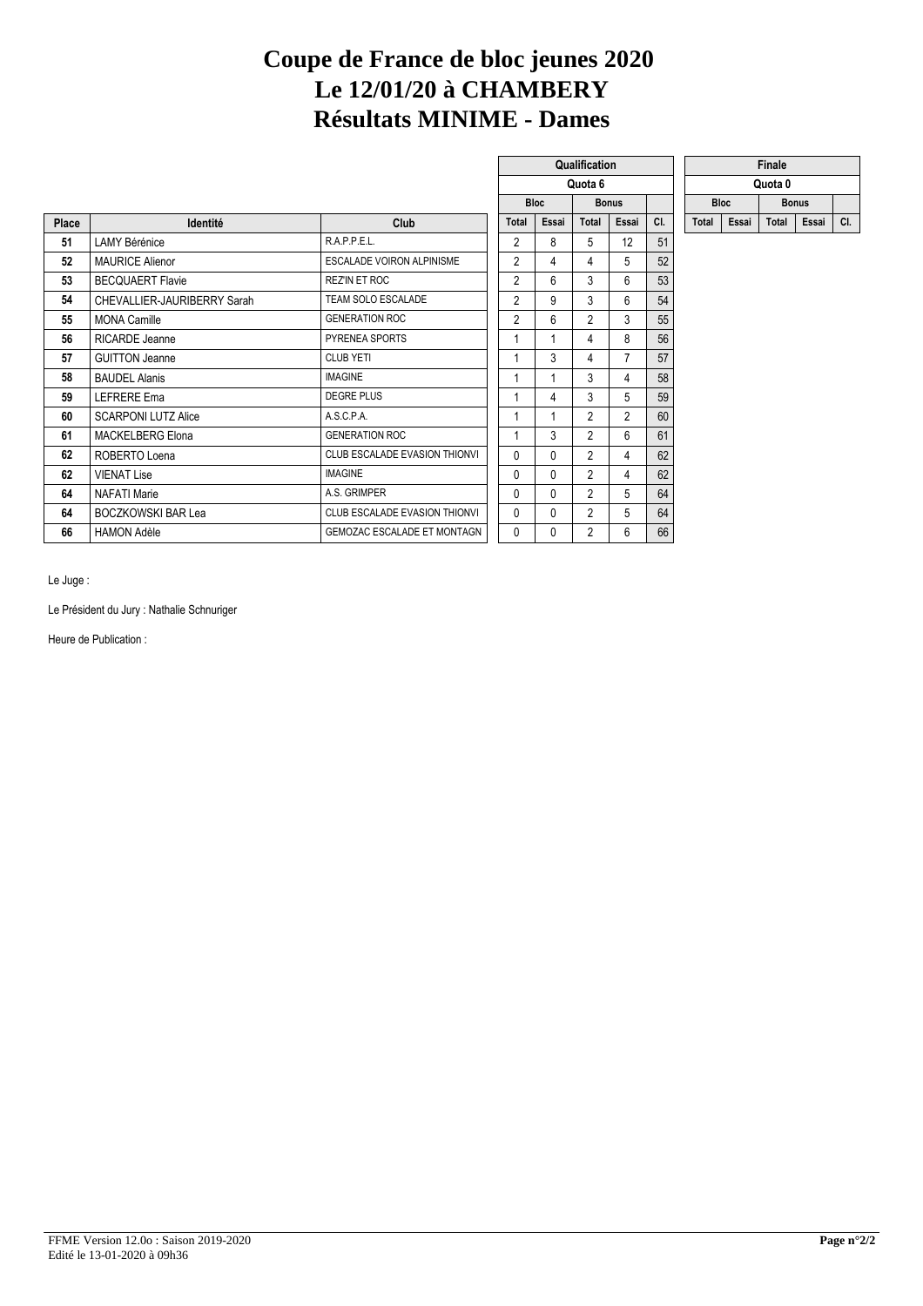## **Coupe de France de bloc jeunes 2020 Le 12/01/20 à CHAMBERY Résultats MINIME - Dames**

|              |                             |                                      |                |              | Quota 6        |                |     |             |       | Quota 0      |       |     |
|--------------|-----------------------------|--------------------------------------|----------------|--------------|----------------|----------------|-----|-------------|-------|--------------|-------|-----|
|              |                             |                                      |                | <b>Bloc</b>  |                | <b>Bonus</b>   |     | <b>Bloc</b> |       | <b>Bonus</b> |       |     |
| <b>Place</b> | Identité                    | <b>Club</b>                          | <b>Total</b>   | Essai        |                | Essai          | CI. | Total       | Essai | Total        | Essai | CI. |
| 51           | LAMY Bérénice               | R.A.P.P.E.L.                         | 2              | 8            | 5              | 12             | 51  |             |       |              |       |     |
| 52           | <b>MAURICE Alienor</b>      | <b>ESCALADE VOIRON ALPINISME</b>     | $\overline{2}$ | 4            | 4              | 5              | 52  |             |       |              |       |     |
| 53           | <b>BECQUAERT Flavie</b>     | REZ'IN ET ROC                        | $\overline{2}$ | 6            | 3              | 6              | 53  |             |       |              |       |     |
| 54           | CHEVALLIER-JAURIBERRY Sarah | TEAM SOLO ESCALADE                   | $\overline{2}$ | 9            | 3              | 6              | 54  |             |       |              |       |     |
| 55           | <b>MONA Camille</b>         | <b>GENERATION ROC</b>                | $\overline{2}$ | 6            | $\overline{2}$ | 3              | 55  |             |       |              |       |     |
| 56           | <b>RICARDE Jeanne</b>       | PYRENEA SPORTS                       |                |              | 4              | 8              | 56  |             |       |              |       |     |
| 57           | <b>GUITTON Jeanne</b>       | <b>CLUB YETI</b>                     |                | 3            | 4              | $\overline{7}$ | 57  |             |       |              |       |     |
| 58           | <b>BAUDEL Alanis</b>        | <b>IMAGINE</b>                       |                |              | 3              | 4              | 58  |             |       |              |       |     |
| 59           | <b>LEFRERE Ema</b>          | <b>DEGRE PLUS</b>                    |                | 4            | 3              | 5              | 59  |             |       |              |       |     |
| 60           | <b>SCARPONI LUTZ Alice</b>  | A.S.C.P.A.                           |                |              | $\overline{2}$ | $\overline{2}$ | 60  |             |       |              |       |     |
| 61           | <b>MACKELBERG Elona</b>     | <b>GENERATION ROC</b>                |                | 3            | $\overline{2}$ | 6              | 61  |             |       |              |       |     |
| 62           | ROBERTO Loena               | <b>CLUB ESCALADE EVASION THIONVI</b> | 0              | 0            | $\overline{2}$ | 4              | 62  |             |       |              |       |     |
| 62           | <b>VIENAT Lise</b>          | <b>IMAGINE</b>                       | 0              | $\mathbf{0}$ | $\overline{2}$ | 4              | 62  |             |       |              |       |     |
| 64           | <b>NAFATI Marie</b>         | A.S. GRIMPER                         | 0              | $\mathbf{0}$ | 2              | 5              | 64  |             |       |              |       |     |
| 64           | <b>BOCZKOWSKI BAR Lea</b>   | CLUB ESCALADE EVASION THIONVI        | $\Omega$       | $\Omega$     | 2              | 5              | 64  |             |       |              |       |     |
| 66           | <b>HAMON Adèle</b>          | GEMOZAC ESCALADE ET MONTAGN          | $\mathbf{0}$   | 0            | 2              | 6              | 66  |             |       |              |       |     |

|                |             | Qualification  |                |     |              |       | Finale       |   |
|----------------|-------------|----------------|----------------|-----|--------------|-------|--------------|---|
|                |             | Quota 6        |                |     |              |       | Quota 0      |   |
|                | <b>Bloc</b> |                | <b>Bonus</b>   |     | <b>Bloc</b>  |       | <b>Bonus</b> |   |
| Total          | Essai       | <b>Total</b>   | Essai          | CI. | <b>Total</b> | Essai | Total        | E |
| $\overline{2}$ | 8           | 5              | 12             | 51  |              |       |              |   |
| $\overline{2}$ | 4           | 4              | 5              | 52  |              |       |              |   |
| $\overline{2}$ | 6           | 3              | 6              | 53  |              |       |              |   |
| $\overline{2}$ | 9           | 3              | 6              | 54  |              |       |              |   |
| $\overline{2}$ | 6           | $\overline{2}$ | 3              | 55  |              |       |              |   |
| 1              | 1           | 4              | 8              | 56  |              |       |              |   |
| 1              | 3           | 4              | $\overline{7}$ | 57  |              |       |              |   |
| 1              | 1           | 3              | 4              | 58  |              |       |              |   |
| 1              | 4           | 3              | 5              | 59  |              |       |              |   |
| 1              | 1           | $\overline{2}$ | $\overline{2}$ | 60  |              |       |              |   |
| 1              | 3           | $\overline{2}$ | 6              | 61  |              |       |              |   |
| 0              | 0           | 2              | 4              | 62  |              |       |              |   |
| 0              | 0           | $\overline{2}$ | 4              | 62  |              |       |              |   |
| 0              | 0           | 2              | 5              | 64  |              |       |              |   |
| 0              | 0           | $\overline{2}$ | 5              | 64  |              |       |              |   |
| 0              | 0           | 2              | 6              | 66  |              |       |              |   |

| ıalification |       |     |              |       | Finale       |       |     |
|--------------|-------|-----|--------------|-------|--------------|-------|-----|
| Quota 6      |       |     |              |       | Quota 0      |       |     |
| <b>Bonus</b> |       |     | <b>Bloc</b>  |       | <b>Bonus</b> |       |     |
| <b>Total</b> | Essai | CI. | <b>Total</b> | Essai | <b>Total</b> | Essai | CI. |

Le Juge :

Le Président du Jury : Nathalie Schnuriger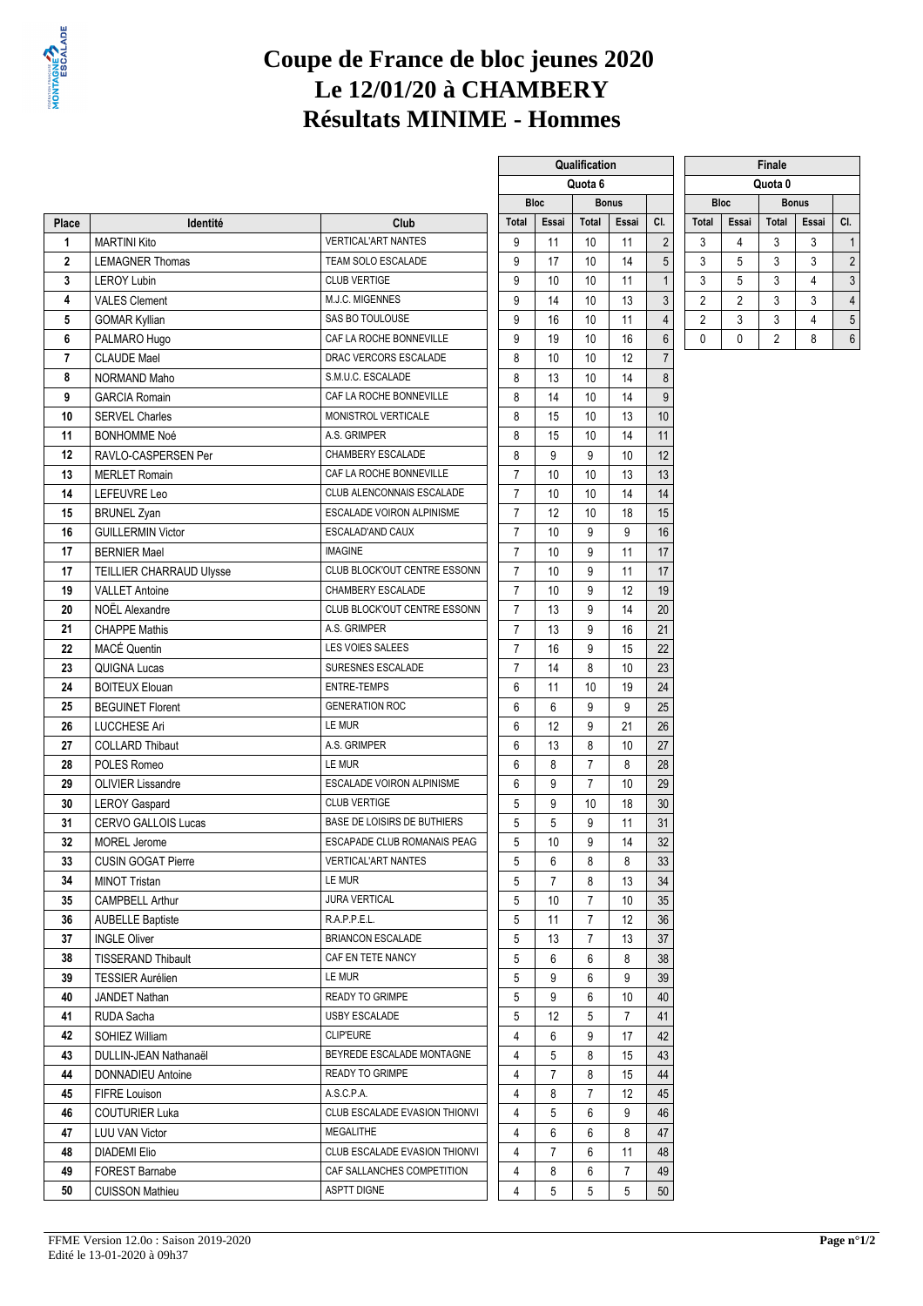

# **Coupe de France de bloc jeunes 2020 Le 12/01/20 à CHAMBERY Résultats MINIME - Hommes**

|                |                            |                               |                | <b>Bloc</b>    |                | Quota o<br><b>Bonus</b> |                         |                |                |       | Quota v        |                |  |
|----------------|----------------------------|-------------------------------|----------------|----------------|----------------|-------------------------|-------------------------|----------------|----------------|-------|----------------|----------------|--|
|                |                            |                               |                |                |                |                         |                         |                | <b>Bloc</b>    |       | <b>Bonus</b>   |                |  |
| Place          | Identité                   | Club                          | <b>Total</b>   | Essai          | Total          | Essai                   | CI.                     | <b>Total</b>   | Essai          | Total | Essai          | CI.            |  |
| 1              | <b>MARTINI Kito</b>        | <b>VERTICAL'ART NANTES</b>    | 9              | 11             | 10             | 11                      | $\sqrt{2}$              | 3              | 4              | 3     | 3              | $\overline{1}$ |  |
| $\overline{2}$ | <b>LEMAGNER Thomas</b>     | TEAM SOLO ESCALADE            | 9              | 17             | 10             | 14                      | 5                       | 3              | 5              | 3     | 3              | $\overline{2}$ |  |
| 3              | <b>LEROY Lubin</b>         | <b>CLUB VERTIGE</b>           | 9              | 10             | 10             | 11                      | $\mathbf{1}$            | 3              | 5              | 3     | 4              | 3              |  |
| 4              | <b>VALES Clement</b>       | M.J.C. MIGENNES               | 9              | 14             | 10             | 13                      | 3                       | $\overline{2}$ | $\overline{2}$ | 3     | 3              | $\overline{4}$ |  |
| 5              | <b>GOMAR Kyllian</b>       | SAS BO TOULOUSE               | 9              | 16             | 10             | 11                      | $\overline{\mathbf{4}}$ | 2              | 3              | 3     | $\overline{4}$ | 5              |  |
| 6              | PALMARO Hugo               | CAF LA ROCHE BONNEVILLE       | 9              | 19             | 10             | 16                      | $6\,$                   | 0              | 0              | 2     | 8              | 6              |  |
| $\overline{7}$ | <b>CLAUDE Mael</b>         | DRAC VERCORS ESCALADE         | 8              | 10             | 10             | 12                      | $\overline{7}$          |                |                |       |                |                |  |
| 8              | NORMAND Maho               | S.M.U.C. ESCALADE             | 8              | 13             | 10             | 14                      | 8                       |                |                |       |                |                |  |
| 9              | <b>GARCIA Romain</b>       | CAF LA ROCHE BONNEVILLE       | 8              | 14             | 10             | 14                      | 9                       |                |                |       |                |                |  |
| 10             | <b>SERVEL Charles</b>      | MONISTROL VERTICALE           | 8              | 15             | 10             | 13                      | 10                      |                |                |       |                |                |  |
| 11             | <b>BONHOMME Noé</b>        | A.S. GRIMPER                  | 8              | 15             | 10             | 14                      | 11                      |                |                |       |                |                |  |
| 12             | RAVLO-CASPERSEN Per        | CHAMBERY ESCALADE             | 8              | 9              | 9              | 10                      | 12                      |                |                |       |                |                |  |
| 13             | <b>MERLET Romain</b>       | CAF LA ROCHE BONNEVILLE       | $\overline{7}$ | 10             | 10             | 13                      | 13                      |                |                |       |                |                |  |
| 14             | LEFEUVRE Leo               | CLUB ALENCONNAIS ESCALADE     | $\overline{7}$ | 10             | 10             | 14                      | 14                      |                |                |       |                |                |  |
| 15             | <b>BRUNEL Zyan</b>         | ESCALADE VOIRON ALPINISME     | $\overline{7}$ | 12             | 10             | 18                      | 15                      |                |                |       |                |                |  |
| 16             | <b>GUILLERMIN Victor</b>   | ESCALAD'AND CAUX              | $\overline{7}$ | 10             | 9              | 9                       | 16                      |                |                |       |                |                |  |
| 17             | <b>BERNIER Mael</b>        | <b>IMAGINE</b>                | $\overline{7}$ | 10             | 9              | 11                      | 17                      |                |                |       |                |                |  |
| 17             | TEILLIER CHARRAUD Ulysse   | CLUB BLOCK'OUT CENTRE ESSONN  | $\overline{7}$ | 10             | 9              | 11                      | 17                      |                |                |       |                |                |  |
| 19             | <b>VALLET Antoine</b>      | CHAMBERY ESCALADE             | $\overline{7}$ | 10             | 9              | 12                      | 19                      |                |                |       |                |                |  |
| 20             | <b>NOEL Alexandre</b>      | CLUB BLOCK'OUT CENTRE ESSONN  | $\overline{7}$ | 13             | 9              | 14                      | 20                      |                |                |       |                |                |  |
| 21             | <b>CHAPPE Mathis</b>       | A.S. GRIMPER                  | $\overline{7}$ | 13             | 9              | 16                      | 21                      |                |                |       |                |                |  |
| 22             | MACÉ Quentin               | LES VOIES SALEES              | $\overline{7}$ | 16             | 9              | 15                      | 22                      |                |                |       |                |                |  |
| 23             | <b>QUIGNA Lucas</b>        | SURESNES ESCALADE             | $\overline{7}$ | 14             | 8              | 10                      | 23                      |                |                |       |                |                |  |
| 24             | <b>BOITEUX Elouan</b>      | <b>ENTRE-TEMPS</b>            | 6              | 11             | 10             | 19                      | 24                      |                |                |       |                |                |  |
| 25             | <b>BEGUINET Florent</b>    | <b>GENERATION ROC</b>         | 6              | 6              | 9              | 9                       | 25                      |                |                |       |                |                |  |
| 26             | <b>LUCCHESE Ari</b>        | LE MUR                        | 6              | 12             | 9              | 21                      | 26                      |                |                |       |                |                |  |
| 27             | <b>COLLARD Thibaut</b>     | A.S. GRIMPER                  | 6              | 13             | 8              | 10                      | 27                      |                |                |       |                |                |  |
| 28             | POLES Romeo                | LE MUR                        | 6              | 8              | $\overline{7}$ | 8                       | 28                      |                |                |       |                |                |  |
| 29             | <b>OLIVIER Lissandre</b>   | ESCALADE VOIRON ALPINISME     | 6              | 9              | $\overline{7}$ | 10                      | 29                      |                |                |       |                |                |  |
| 30             | <b>LEROY Gaspard</b>       | <b>CLUB VERTIGE</b>           | 5              | 9              | 10             | 18                      | 30                      |                |                |       |                |                |  |
| 31             | <b>CERVO GALLOIS Lucas</b> | BASE DE LOISIRS DE BUTHIERS   | 5              | 5              | 9              | 11                      | 31                      |                |                |       |                |                |  |
| 32             | <b>MOREL Jerome</b>        | ESCAPADE CLUB ROMANAIS PEAG   | 5              | 10             | 9              | 14                      | 32                      |                |                |       |                |                |  |
| 33             | <b>CUSIN GOGAT Pierre</b>  | <b>VERTICAL'ART NANTES</b>    | 5              | 6              | 8              | 8                       | 33                      |                |                |       |                |                |  |
| 34             | MINOT Tristan              | LE MUR                        | 5 <sub>5</sub> | 7 <sup>7</sup> | 8              | 13                      | $34\,$                  |                |                |       |                |                |  |
| 35             | <b>CAMPBELL Arthur</b>     | <b>JURA VERTICAL</b>          | 5              | 10             | 7              | 10                      | 35                      |                |                |       |                |                |  |
| 36             | <b>AUBELLE Baptiste</b>    | R.A.P.P.E.L.                  | 5              | 11             | $\overline{7}$ | 12                      | 36                      |                |                |       |                |                |  |
| 37             | <b>INGLE Oliver</b>        | <b>BRIANCON ESCALADE</b>      | 5              | 13             | $\overline{7}$ | 13                      | 37                      |                |                |       |                |                |  |
|                | <b>TISSERAND Thibault</b>  | CAF EN TETE NANCY             | 5              | 6              | 6              | 8                       | 38                      |                |                |       |                |                |  |
| 38<br>39       |                            | LE MUR                        | 5              | 9              | 6              | 9                       | 39                      |                |                |       |                |                |  |
|                | <b>TESSIER Aurélien</b>    | READY TO GRIMPE               |                |                |                |                         |                         |                |                |       |                |                |  |
| 40             | JANDET Nathan              | <b>USBY ESCALADE</b>          | 5              | 9              | 6              | 10                      | 40                      |                |                |       |                |                |  |
| 41             | RUDA Sacha                 |                               | 5              | 12             | 5              | 7                       | 41                      |                |                |       |                |                |  |
| 42             | SOHIEZ William             | <b>CLIP'EURE</b>              | 4              | 6              | 9              | 17                      | 42                      |                |                |       |                |                |  |
| 43             | DULLIN-JEAN Nathanaël      | BEYREDE ESCALADE MONTAGNE     | 4              | 5              | 8              | 15                      | 43                      |                |                |       |                |                |  |
| 44             | DONNADIEU Antoine          | <b>READY TO GRIMPE</b>        | 4              | $\overline{7}$ | 8              | 15                      | 44                      |                |                |       |                |                |  |
| 45             | <b>FIFRE Louison</b>       | A.S.C.P.A.                    | 4              | 8              | $\overline{7}$ | 12                      | 45                      |                |                |       |                |                |  |
| 46             | <b>COUTURIER Luka</b>      | CLUB ESCALADE EVASION THIONVI | 4              | 5              | 6              | 9                       | 46                      |                |                |       |                |                |  |
| 47             | <b>LUU VAN Victor</b>      | <b>MEGALITHE</b>              | 4              | 6              | 6              | 8                       | 47                      |                |                |       |                |                |  |
| 48             | <b>DIADEMI Elio</b>        | CLUB ESCALADE EVASION THIONVI | 4              | $\overline{7}$ | 6              | 11                      | 48                      |                |                |       |                |                |  |
| 49             | FOREST Barnabe             | CAF SALLANCHES COMPETITION    | 4              | 8              | 6              | 7                       | 49                      |                |                |       |                |                |  |
| 50             | <b>CUISSON Mathieu</b>     | <b>ASPTT DIGNE</b>            | 4              | 5              | 5              | 5                       | 50                      |                |                |       |                |                |  |

|              |             | Qualification |              |                |                |             | Finale       |   |
|--------------|-------------|---------------|--------------|----------------|----------------|-------------|--------------|---|
|              |             | Quota 6       |              |                |                |             | Quota 0      |   |
|              | <b>Bloc</b> |               | <b>Bonus</b> |                |                | <b>Bloc</b> | <b>Bonus</b> |   |
| <b>Total</b> | Essai       | <b>Total</b>  | Essai        | CI.            | <b>Total</b>   | Essai       | <b>Total</b> | Е |
| 9            | 11          | 10            | 11           | $\overline{2}$ | 3              | 4           | 3            |   |
| 9            | 17          | 10            | 14           | 5              | 3              | 5           | 3            |   |
| 9            | 10          | 10            | 11           | $\mathbf{1}$   | 3              | 5           | 3            |   |
| 9            | 14          | 10            | 13           | 3              | $\overline{c}$ | 2           | 3            |   |
| 9            | 16          | 10            | 11           | 4              | 2              | 3           | 3            |   |
| 9            | 19          | 10            | 16           | 6              | 0              | 0           | 2            |   |
| 8            | 10          | 10            | 12           | 7              |                |             |              |   |
| 8            | 13          | 10            | 14           | 8              |                |             |              |   |
| 8            | 14          | 10            | 14           | 9              |                |             |              |   |
| 8            | 15          | 10            | 13           | 10             |                |             |              |   |
| 8            | 15          | 10            | 14           | 11             |                |             |              |   |
| 8            | 9           | 9             | 10           | 12             |                |             |              |   |
| 7            | 10          | 10            | 13           | 13             |                |             |              |   |
| 7            | 10          | 10            | 14           | 14             |                |             |              |   |
| 7            | 12          | 10            | 18           | 15             |                |             |              |   |
| 7            | 10          | 9             | 9            | 16             |                |             |              |   |
| 7            | 10          | 9             | 11           | 17             |                |             |              |   |
| 7            | 10          | 9             | 11           | 17             |                |             |              |   |
| 7            | 10          | 9             | 12           | 19             |                |             |              |   |
| 7            | 13          | 9             | 14           | 20             |                |             |              |   |
| 7            | 13          | 9             | 16           | 21             |                |             |              |   |
| 7            | 16          | 9             | 15           | 22             |                |             |              |   |
| 7            | 14          | 8             | 10           | 23             |                |             |              |   |
| 6            | 11          | 10            | 19           | 24             |                |             |              |   |
| 6            | 6           | 9             | 9            | 25             |                |             |              |   |
| 6            | 12          | 9             | 21           | 26             |                |             |              |   |
| 6            | 13          | 8             | 10           | 27             |                |             |              |   |
| 6            | 8           | 7             | 8            | 28             |                |             |              |   |
| 6            | 9           | 7             | 10           | 29             |                |             |              |   |
| 5            | 9           | 10            | 18           | 30             |                |             |              |   |
| 5            | 5           | 9             | 11           | 31             |                |             |              |   |
| 5            | 10          | 9             | 14           | 32             |                |             |              |   |
| 5            | 6           | 8             | 8            | 33             |                |             |              |   |
| 5            | 7           | 8             | 13           | 34             |                |             |              |   |
| 5            | 10          | 7             | 10           | 35             |                |             |              |   |
| 5            | 11          | 7             | 12           | 36             |                |             |              |   |
| 5            | 13          | 7             | 13           | 37             |                |             |              |   |
| 5            | 6           | 6             | 8            | 38             |                |             |              |   |
| 5            | 9           | 6             | 9            | 39             |                |             |              |   |
| 5            | 9           | 6             | 10           | 40             |                |             |              |   |
| 5            | 12          | 5             | 7            | 41             |                |             |              |   |
| 4            | 6           | 9             | 17           | 42             |                |             |              |   |
| 4            | 5           | 8             | 15           | 43             |                |             |              |   |
| 4            | 7           | 8             | 15           | 44             |                |             |              |   |
| 4            | 8           | 7             | 12           | 45             |                |             |              |   |
|              |             |               |              |                |                |             |              |   |

|              |                             | <b>Finale</b>  |       |                |  |  |  |  |  |  |  |  |
|--------------|-----------------------------|----------------|-------|----------------|--|--|--|--|--|--|--|--|
|              |                             | Quota 0        |       |                |  |  |  |  |  |  |  |  |
|              | <b>Bloc</b><br><b>Bonus</b> |                |       |                |  |  |  |  |  |  |  |  |
| <b>Total</b> | Essai                       | <b>Total</b>   | Essai | CI.            |  |  |  |  |  |  |  |  |
| 3            |                             | 3              | 3     |                |  |  |  |  |  |  |  |  |
| 3            | 5                           | 3              | 3     | $\overline{c}$ |  |  |  |  |  |  |  |  |
| 3            | 5                           | 3              |       | 3              |  |  |  |  |  |  |  |  |
| 2            | 2                           | 3              | 3     | $\overline{4}$ |  |  |  |  |  |  |  |  |
| 2            | 3                           | 3              |       | 5              |  |  |  |  |  |  |  |  |
|              |                             | $\overline{2}$ |       | 6              |  |  |  |  |  |  |  |  |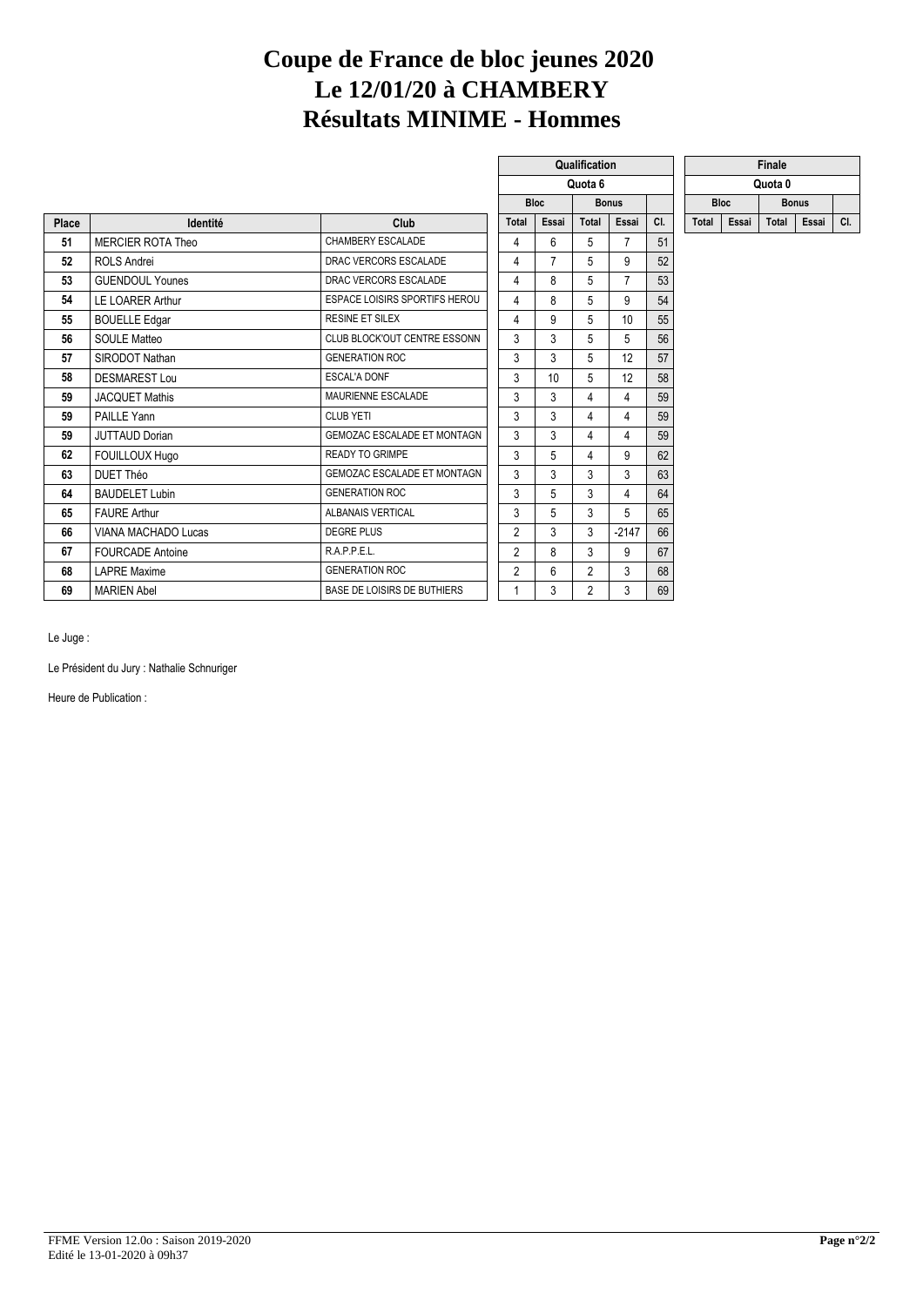# **Coupe de France de bloc jeunes 2020 Le 12/01/20 à CHAMBERY Résultats MINIME - Hommes**

 $\sqrt{2}$ 

|       |                          |                                      | Quota 6                                                                |                |    |                |                |     |             |       | Quota 0 |              |     |
|-------|--------------------------|--------------------------------------|------------------------------------------------------------------------|----------------|----|----------------|----------------|-----|-------------|-------|---------|--------------|-----|
|       |                          |                                      | <b>Bloc</b><br><b>Bonus</b><br><b>Total</b><br>Essai<br>Total<br>Essai |                |    |                |                |     | <b>Bloc</b> |       |         | <b>Bonus</b> |     |
| Place | Identité                 | Club                                 |                                                                        |                |    |                |                | CI. | Total       | Essai | Total   | Essai        | CI. |
| 51    | <b>MERCIER ROTA Theo</b> | CHAMBERY ESCALADE                    |                                                                        | 4              | 6  | 5              | 7              | 51  |             |       |         |              |     |
| 52    | <b>ROLS Andrei</b>       | DRAC VERCORS ESCALADE                |                                                                        | 4              | 7  | 5              | 9              | 52  |             |       |         |              |     |
| 53    | <b>GUENDOUL Younes</b>   | DRAC VERCORS ESCALADE                |                                                                        | 4              | 8  | 5              | $\overline{7}$ | 53  |             |       |         |              |     |
| 54    | <b>LE LOARER Arthur</b>  | <b>ESPACE LOISIRS SPORTIFS HEROU</b> |                                                                        | 4              | 8  | 5              | 9              | 54  |             |       |         |              |     |
| 55    | <b>BOUELLE Edgar</b>     | <b>RESINE ET SILEX</b>               |                                                                        | 4              | 9  | 5              | 10             | 55  |             |       |         |              |     |
| 56    | <b>SOULE Matteo</b>      | CLUB BLOCK'OUT CENTRE ESSONN         |                                                                        | 3              | 3  | 5              | 5              | 56  |             |       |         |              |     |
| 57    | SIRODOT Nathan           | <b>GENERATION ROC</b>                |                                                                        | 3              | 3  | 5              | 12             | 57  |             |       |         |              |     |
| 58    | <b>DESMAREST Lou</b>     | <b>ESCAL'A DONF</b>                  |                                                                        | 3              | 10 | 5              | 12             | 58  |             |       |         |              |     |
| 59    | <b>JACQUET Mathis</b>    | MAURIENNE ESCALADE                   |                                                                        | 3              | 3  | 4              | 4              | 59  |             |       |         |              |     |
| 59    | PAILLE Yann              | <b>CLUB YETI</b>                     |                                                                        | 3              | 3  | 4              | 4              | 59  |             |       |         |              |     |
| 59    | JUTTAUD Dorian           | GEMOZAC ESCALADE ET MONTAGN          |                                                                        | 3              | 3  | 4              | 4              | 59  |             |       |         |              |     |
| 62    | FOUILLOUX Hugo           | <b>READY TO GRIMPE</b>               |                                                                        | 3              | 5  | 4              | 9              | 62  |             |       |         |              |     |
| 63    | DUET Théo                | <b>GEMOZAC ESCALADE ET MONTAGN</b>   |                                                                        | 3              | 3  | 3              | 3              | 63  |             |       |         |              |     |
| 64    | <b>BAUDELET Lubin</b>    | <b>GENERATION ROC</b>                |                                                                        | 3              | 5  | 3              | 4              | 64  |             |       |         |              |     |
| 65    | <b>FAURE Arthur</b>      | ALBANAIS VERTICAL                    |                                                                        | 3              | 5  | 3              | 5              | 65  |             |       |         |              |     |
| 66    | VIANA MACHADO Lucas      | <b>DEGRE PLUS</b>                    |                                                                        | $\overline{2}$ | 3  | 3              | $-2147$        | 66  |             |       |         |              |     |
| 67    | <b>FOURCADE Antoine</b>  | R.A.P.P.E.L.                         |                                                                        | $\overline{2}$ | 8  | 3              | 9              | 67  |             |       |         |              |     |
| 68    | <b>LAPRE Maxime</b>      | <b>GENERATION ROC</b>                |                                                                        | $\overline{2}$ | 6  | $\overline{2}$ | 3              | 68  |             |       |         |              |     |
| 69    | <b>MARIEN Abel</b>       | BASE DE LOISIRS DE BUTHIERS          |                                                                        |                | 3  | $\overline{2}$ | 3              | 69  |             |       |         |              |     |

|  |       | Qualification |              |     |  |              |       | Finale       |       |     |
|--|-------|---------------|--------------|-----|--|--------------|-------|--------------|-------|-----|
|  |       | Quota 6       |              |     |  |              |       | Quota 0      |       |     |
|  | Bloc  |               | <b>Bonus</b> |     |  | <b>Bloc</b>  |       | <b>Bonus</b> |       |     |
|  | Essai | Total         | Essai        | CI. |  | <b>Total</b> | Essai |              | Essai | CI. |

Le Juge :

Le Président du Jury : Nathalie Schnuriger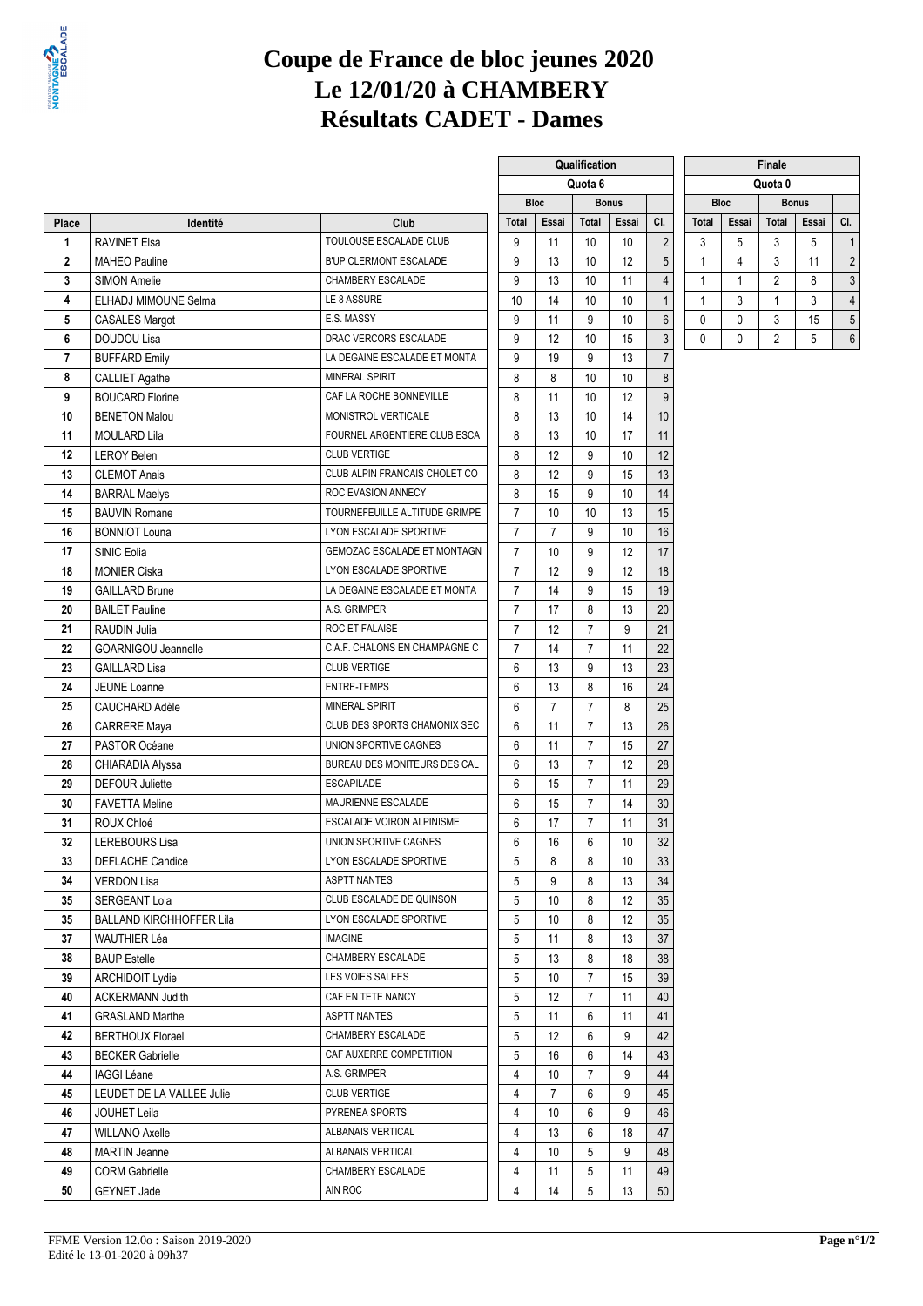

## **Coupe de France de bloc jeunes 2020 Le 12/01/20 à CHAMBERY Résultats CADET - Dames**

**Qualification** 

|             |                                 |                               | Quota 6                   |                |                |                   | Quota 0          |              |              |                |              |                |
|-------------|---------------------------------|-------------------------------|---------------------------|----------------|----------------|-------------------|------------------|--------------|--------------|----------------|--------------|----------------|
|             |                                 |                               |                           | <b>Bloc</b>    |                | <b>Bonus</b>      |                  |              | <b>Bloc</b>  |                | <b>Bonus</b> |                |
| Place       | Identité                        | Club                          | <b>Total</b>              | Essai          | <b>Total</b>   | Essai             | CI.              | <b>Total</b> | Essai        | <b>Total</b>   | Essai        | CI.            |
| 1           | <b>RAVINET Elsa</b>             | TOULOUSE ESCALADE CLUB        | 9                         | 11             | 10             | 10                | $\overline{2}$   | 3            | 5            | 3              | 5            | 1              |
| $\mathbf 2$ | <b>MAHEO Pauline</b>            | B'UP CLERMONT ESCALADE        | 9                         | 13             | 10             | 12                | 5                | 1            | 4            | 3              | 11           | $\overline{2}$ |
| 3           | <b>SIMON Amelie</b>             | CHAMBERY ESCALADE             | 9                         | 13             | 10             | 11                | $\overline{4}$   | $\mathbf{1}$ | $\mathbf{1}$ | 2              | 8            | 3              |
| 4           | ELHADJ MIMOUNE Selma            | LE 8 ASSURE                   | 10                        | 14             | 10             | 10                | $\mathbf{1}$     | 1            | 3            | 1              | 3            | 4              |
| 5           | <b>CASALES Margot</b>           | E.S. MASSY                    | 9                         | 11             | 9              | 10                | $6\,$            | 0            | 0            | 3              | 15           | 5              |
| 6           | DOUDOU Lisa                     | DRAC VERCORS ESCALADE         | 9                         | 12             | 10             | 15                | $\sqrt{3}$       | 0            | 0            | $\overline{2}$ | 5            | 6              |
| 7           | <b>BUFFARD Emily</b>            | LA DEGAINE ESCALADE ET MONTA  | 9                         | 19             | 9              | 13                | $\overline{7}$   |              |              |                |              |                |
| 8           | <b>CALLIET Agathe</b>           | <b>MINERAL SPIRIT</b>         | 8                         | 8              | 10             | 10                | $\bf 8$          |              |              |                |              |                |
| 9           | <b>BOUCARD Florine</b>          | CAF LA ROCHE BONNEVILLE       | 8                         | 11             | 10             | 12                | $\boldsymbol{9}$ |              |              |                |              |                |
| 10          | <b>BENETON Malou</b>            | MONISTROL VERTICALE           | 8                         | 13             | 10             | 14                | 10               |              |              |                |              |                |
| 11          | <b>MOULARD Lila</b>             | FOURNEL ARGENTIERE CLUB ESCA  | 8                         | 13             | 10             | 17                | 11               |              |              |                |              |                |
| 12          | <b>LEROY Belen</b>              | <b>CLUB VERTIGE</b>           | 8                         | 12             | 9              | 10                | 12               |              |              |                |              |                |
| 13          | <b>CLEMOT Anais</b>             | CLUB ALPIN FRANCAIS CHOLET CO | 8                         | 12             | 9              | 15                | 13               |              |              |                |              |                |
| 14          | <b>BARRAL Maelys</b>            | ROC EVASION ANNECY            | 8                         | 15             | 9              | 10                | 14               |              |              |                |              |                |
| 15          | <b>BAUVIN Romane</b>            | TOURNEFEUILLE ALTITUDE GRIMPE | $\overline{7}$            | 10             | 10             | 13                | 15               |              |              |                |              |                |
| 16          | <b>BONNIOT Louna</b>            | LYON ESCALADE SPORTIVE        | $\overline{7}$            | $\overline{7}$ | 9              | 10                | 16               |              |              |                |              |                |
| 17          | SINIC Eolia                     | GEMOZAC ESCALADE ET MONTAGN   | $\overline{7}$            | 10             | 9              | 12                | 17               |              |              |                |              |                |
| 18          | <b>MONIER Ciska</b>             | LYON ESCALADE SPORTIVE        | $\overline{7}$            | 12             | 9              | 12                | 18               |              |              |                |              |                |
| 19          | <b>GAILLARD Brune</b>           | LA DEGAINE ESCALADE ET MONTA  | $\overline{7}$            | 14             | 9              | 15                | 19               |              |              |                |              |                |
| 20          | <b>BAILET Pauline</b>           | A.S. GRIMPER                  | $\overline{7}$            | 17             | 8              | 13                | 20               |              |              |                |              |                |
| 21          | <b>RAUDIN Julia</b>             | ROC ET FALAISE                | $\overline{7}$            | 12             | $\overline{7}$ | 9                 | 21               |              |              |                |              |                |
| 22          | <b>GOARNIGOU Jeannelle</b>      | C.A.F. CHALONS EN CHAMPAGNE C | $\overline{7}$            | 14             | $\overline{7}$ | 11                | 22               |              |              |                |              |                |
| 23          | <b>GAILLARD Lisa</b>            | <b>CLUB VERTIGE</b>           | 6                         | 13             | 9              | 13                | 23               |              |              |                |              |                |
| 24          | <b>JEUNE Loanne</b>             | <b>ENTRE-TEMPS</b>            | 6                         | 13             | 8              | 16                | 24               |              |              |                |              |                |
| 25          | CAUCHARD Adèle                  | <b>MINERAL SPIRIT</b>         | 6                         | $\overline{7}$ | $\overline{7}$ | 8                 | 25               |              |              |                |              |                |
| 26          | <b>CARRERE Maya</b>             | CLUB DES SPORTS CHAMONIX SEC  | 6                         | 11             | $\overline{7}$ | 13                | 26               |              |              |                |              |                |
| 27          | PASTOR Océane                   | UNION SPORTIVE CAGNES         | 6                         | 11             | $\overline{7}$ | 15                | 27               |              |              |                |              |                |
| 28          | CHIARADIA Alyssa                | BUREAU DES MONITEURS DES CAL  | 6                         | 13             | $\overline{7}$ | 12                | 28               |              |              |                |              |                |
| 29          | <b>DEFOUR Juliette</b>          | <b>ESCAPILADE</b>             | 6                         | 15             | $\overline{7}$ | 11                | 29               |              |              |                |              |                |
| 30          | <b>FAVETTA Meline</b>           | MAURIENNE ESCALADE            | 6                         | 15             | $\overline{7}$ | 14                | 30               |              |              |                |              |                |
| 31          | ROUX Chloé                      | ESCALADE VOIRON ALPINISME     | 6                         | 17             | $\overline{7}$ | 11                | 31               |              |              |                |              |                |
| 32          | <b>LEREBOURS Lisa</b>           | UNION SPORTIVE CAGNES         | 6                         | 16             | 6              | 10                | 32               |              |              |                |              |                |
| 33          | DEFLACHE Candice                | LYON ESCALADE SPORTIVE        | 5                         | 8              | 8              | 10                | 33               |              |              |                |              |                |
| 34          | <b>VERDON Lisa</b>              | <b>ASPTT NANTES</b>           | 5                         | 9              | 8              | 13                |                  |              |              |                |              |                |
| 35          | <b>SERGEANT Lola</b>            | CLUB ESCALADE DE QUINSON      | 5                         | 10             | 8              | $12 \overline{ }$ | 34<br>35         |              |              |                |              |                |
| 35          |                                 | LYON ESCALADE SPORTIVE        |                           |                |                |                   | 35               |              |              |                |              |                |
|             | <b>BALLAND KIRCHHOFFER Lila</b> | <b>IMAGINE</b>                | 5                         | 10             | 8              | 12                |                  |              |              |                |              |                |
| 37          | WAUTHIER Léa                    |                               | 5                         | 11             | 8              | 13                | 37               |              |              |                |              |                |
| 38          | <b>BAUP Estelle</b>             | CHAMBERY ESCALADE             | 5                         | 13             | 8              | 18                | 38               |              |              |                |              |                |
| 39          | <b>ARCHIDOIT Lydie</b>          | LES VOIES SALEES              | 5                         | 10             | 7              | 15                | 39               |              |              |                |              |                |
| 40          | <b>ACKERMANN Judith</b>         | CAF EN TETE NANCY             | 5                         | 12             | 7              | 11                | 40               |              |              |                |              |                |
| 41          | <b>GRASLAND Marthe</b>          | <b>ASPTT NANTES</b>           | 5                         | 11             | 6              | 11                | 41               |              |              |                |              |                |
| 42          | <b>BERTHOUX Florael</b>         | CHAMBERY ESCALADE             |                           | 5<br>12<br>6   |                | 9                 | 42               |              |              |                |              |                |
| 43          | <b>BECKER Gabrielle</b>         | CAF AUXERRE COMPETITION       | 5<br>6<br>16              |                | 14             | 43                |                  |              |              |                |              |                |
| 44          | IAGGI Léane                     | A.S. GRIMPER                  | $\overline{7}$<br>4<br>10 |                |                | 9                 | 44               |              |              |                |              |                |
| 45          | LEUDET DE LA VALLEE Julie       | <b>CLUB VERTIGE</b>           | 4                         | 7              | 6              | 9                 | 45               |              |              |                |              |                |
| 46          | JOUHET Leila                    | PYRENEA SPORTS                | 4                         | 10             | 6              | 9                 | 46               |              |              |                |              |                |
| 47          | <b>WILLANO Axelle</b>           | ALBANAIS VERTICAL             | 4                         | 13             | 6              | 18                | 47               |              |              |                |              |                |
| 48          | <b>MARTIN Jeanne</b>            | ALBANAIS VERTICAL             | 4                         | 10             | 5              | 9                 | 48               |              |              |                |              |                |
| 49          | <b>CORM Gabrielle</b>           | CHAMBERY ESCALADE             | 4                         | 11             | 5              | 11                | 49               |              |              |                |              |                |
| 50          | <b>GEYNET Jade</b>              | AIN ROC                       | 4                         | 14             | 5              | 13                | 50               |              |              |                |              |                |

| FFME Version 12.0o : Saison 2019-2020 |
|---------------------------------------|
| Edité le 13-01-2020 à 09h37           |

|              |             | <b>Finale</b>         |              |                |  |  |  |  |  |  |  |
|--------------|-------------|-----------------------|--------------|----------------|--|--|--|--|--|--|--|
| Quota 0      |             |                       |              |                |  |  |  |  |  |  |  |
|              | <b>Bloc</b> |                       | <b>Bonus</b> |                |  |  |  |  |  |  |  |
| <b>Total</b> | Essai       | Essai<br><b>Total</b> |              |                |  |  |  |  |  |  |  |
| 3            | 5           | 3                     | 5            | 1              |  |  |  |  |  |  |  |
|              |             | 3                     | 11           | $\overline{2}$ |  |  |  |  |  |  |  |
|              |             | $\overline{2}$        | 8            | 3              |  |  |  |  |  |  |  |
|              | 3           |                       | 3            | 4              |  |  |  |  |  |  |  |
| 0            | 0           | 3                     | 15           | 5              |  |  |  |  |  |  |  |
| Ω            |             | $\overline{2}$        | 5            | 6              |  |  |  |  |  |  |  |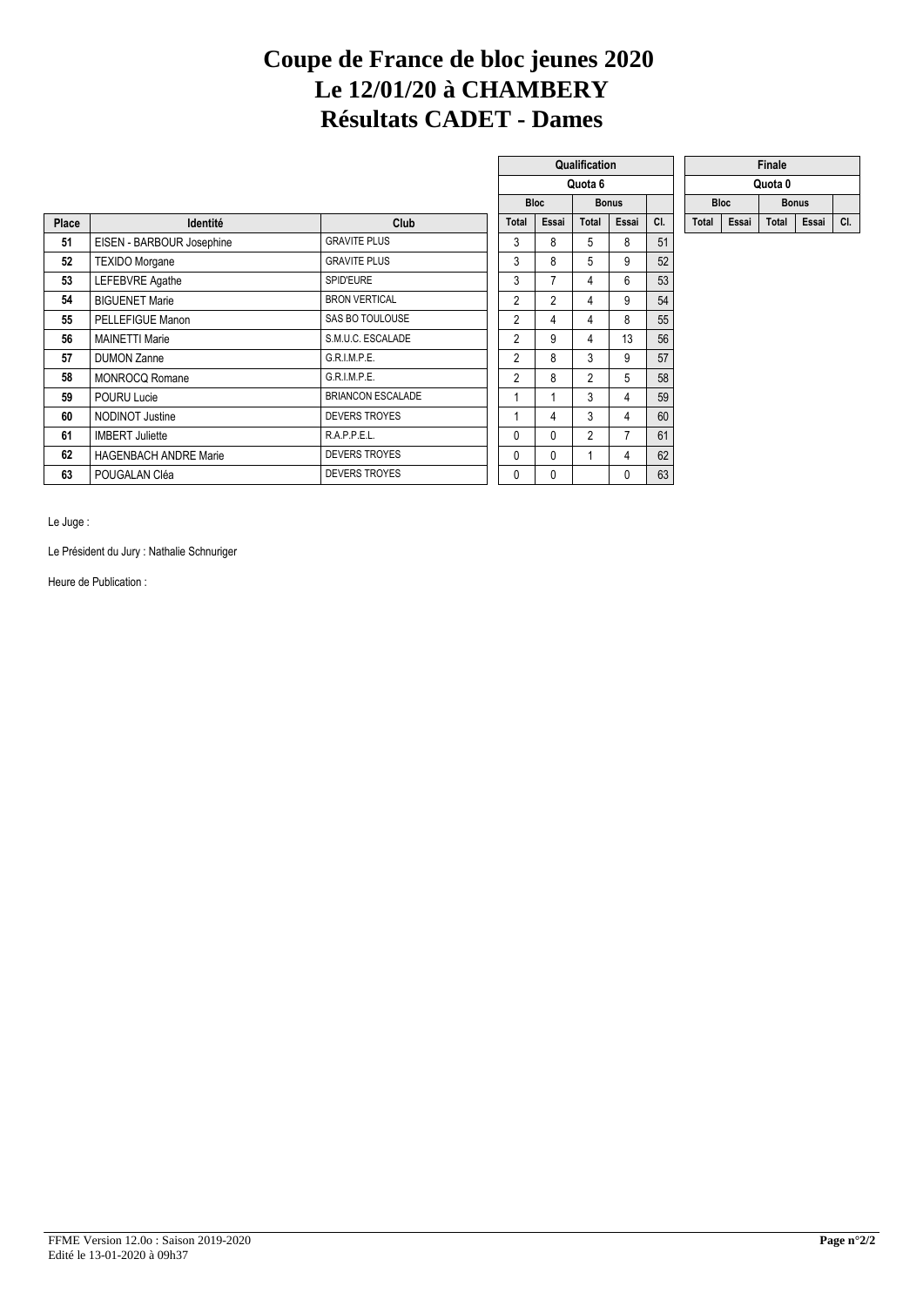## **Coupe de France de bloc jeunes 2020 Le 12/01/20 à CHAMBERY Résultats CADET - Dames**

 $\Box$ 

|       |                              |                          |                |                | Quota 6        |                |     |             |       | Quota 0      |       |     |
|-------|------------------------------|--------------------------|----------------|----------------|----------------|----------------|-----|-------------|-------|--------------|-------|-----|
|       |                              |                          |                | <b>Bloc</b>    |                | <b>Bonus</b>   |     | <b>Bloc</b> |       | <b>Bonus</b> |       |     |
| Place | Identité                     | Club                     | Total          | Essai          | Total          | Essai          | CI. | Total       | Essai | Total        | Essai | CI. |
| 51    | EISEN - BARBOUR Josephine    | <b>GRAVITE PLUS</b>      | 3              | 8              | 5              | 8              | 51  |             |       |              |       |     |
| 52    | <b>TEXIDO Morgane</b>        | <b>GRAVITE PLUS</b>      | 3              | 8              | 5              | 9              | 52  |             |       |              |       |     |
| 53    | <b>LEFEBVRE</b> Agathe       | SPID'EURE                | 3              |                | 4              | 6              | 53  |             |       |              |       |     |
| 54    | <b>BIGUENET Marie</b>        | <b>BRON VERTICAL</b>     | $\overline{2}$ | $\overline{2}$ | 4              | 9              | 54  |             |       |              |       |     |
| 55    | PELLEFIGUE Manon             | SAS BO TOULOUSE          | 2              | 4              | 4              | 8              | 55  |             |       |              |       |     |
| 56    | <b>MAINETTI Marie</b>        | S.M.U.C. ESCALADE        | $\overline{2}$ | 9              | 4              | 13             | 56  |             |       |              |       |     |
| 57    | <b>DUMON Zanne</b>           | G.R.I.M.P.E.             | $\overline{2}$ | 8              | 3              | 9              | 57  |             |       |              |       |     |
| 58    | <b>MONROCQ Romane</b>        | G.R.I.M.P.E.             | $\overline{2}$ | 8              | $\overline{2}$ | 5              | 58  |             |       |              |       |     |
| 59    | POURU Lucie                  | <b>BRIANCON ESCALADE</b> |                |                | 3              | 4              | 59  |             |       |              |       |     |
| 60    | <b>NODINOT Justine</b>       | <b>DEVERS TROYES</b>     |                | 4              | 3              | 4              | 60  |             |       |              |       |     |
| 61    | <b>IMBERT Juliette</b>       | R.A.P.P.E.L.             | 0              | $\mathbf{0}$   | $\overline{2}$ | $\overline{7}$ | 61  |             |       |              |       |     |
| 62    | <b>HAGENBACH ANDRE Marie</b> | <b>DEVERS TROYES</b>     | 0              | $\Omega$       |                | 4              | 62  |             |       |              |       |     |
| 63    | POUGALAN Cléa                | <b>DEVERS TROYES</b>     | 0              | 0              |                | 0              | 63  |             |       |              |       |     |

|                |             | Quota 6        |              |     |              |             | Quota 0      |   |
|----------------|-------------|----------------|--------------|-----|--------------|-------------|--------------|---|
|                | <b>Bloc</b> |                | <b>Bonus</b> |     |              | <b>Bloc</b> | <b>Bonus</b> |   |
| <b>Total</b>   | Essai       | <b>Total</b>   | Essai        | CI. | <b>Total</b> | Essai       | Total        | E |
| 3              | 8           | 5              | 8            | 51  |              |             |              |   |
| 3              | 8           | 5              | 9            | 52  |              |             |              |   |
| 3              | 7           | 4              | 6            | 53  |              |             |              |   |
| $\overline{2}$ | 2           | 4              | 9            | 54  |              |             |              |   |
| $\overline{2}$ | 4           | 4              | 8            | 55  |              |             |              |   |
| 2              | 9           | 4              | 13           | 56  |              |             |              |   |
| $\overline{2}$ | 8           | 3              | 9            | 57  |              |             |              |   |
| 2              | 8           | $\overline{2}$ | 5            | 58  |              |             |              |   |
| 1              | 1           | 3              | 4            | 59  |              |             |              |   |
| $\mathbf{1}$   | 4           | 3              | 4            | 60  |              |             |              |   |
| 0              | 0           | $\overline{2}$ | 7            | 61  |              |             |              |   |
| 0              | 0           | 1              | 4            | 62  |              |             |              |   |
| 0              | 0           |                | 0            | 63  |              |             |              |   |
|                |             |                |              |     |              |             |              |   |

**Qualification** 

| ıalification |       |     |       | Finale<br>Quota 0<br><b>Bloc</b><br><b>Bonus</b> |       |       |     |  |  |  |  |  |
|--------------|-------|-----|-------|--------------------------------------------------|-------|-------|-----|--|--|--|--|--|
| Quota 6      |       |     |       |                                                  |       |       |     |  |  |  |  |  |
| <b>Bonus</b> |       |     |       |                                                  |       |       |     |  |  |  |  |  |
| <b>Total</b> | Essai | CI. | Total | Essai                                            | Total | Essai | CI. |  |  |  |  |  |

Le Juge :

Le Président du Jury : Nathalie Schnuriger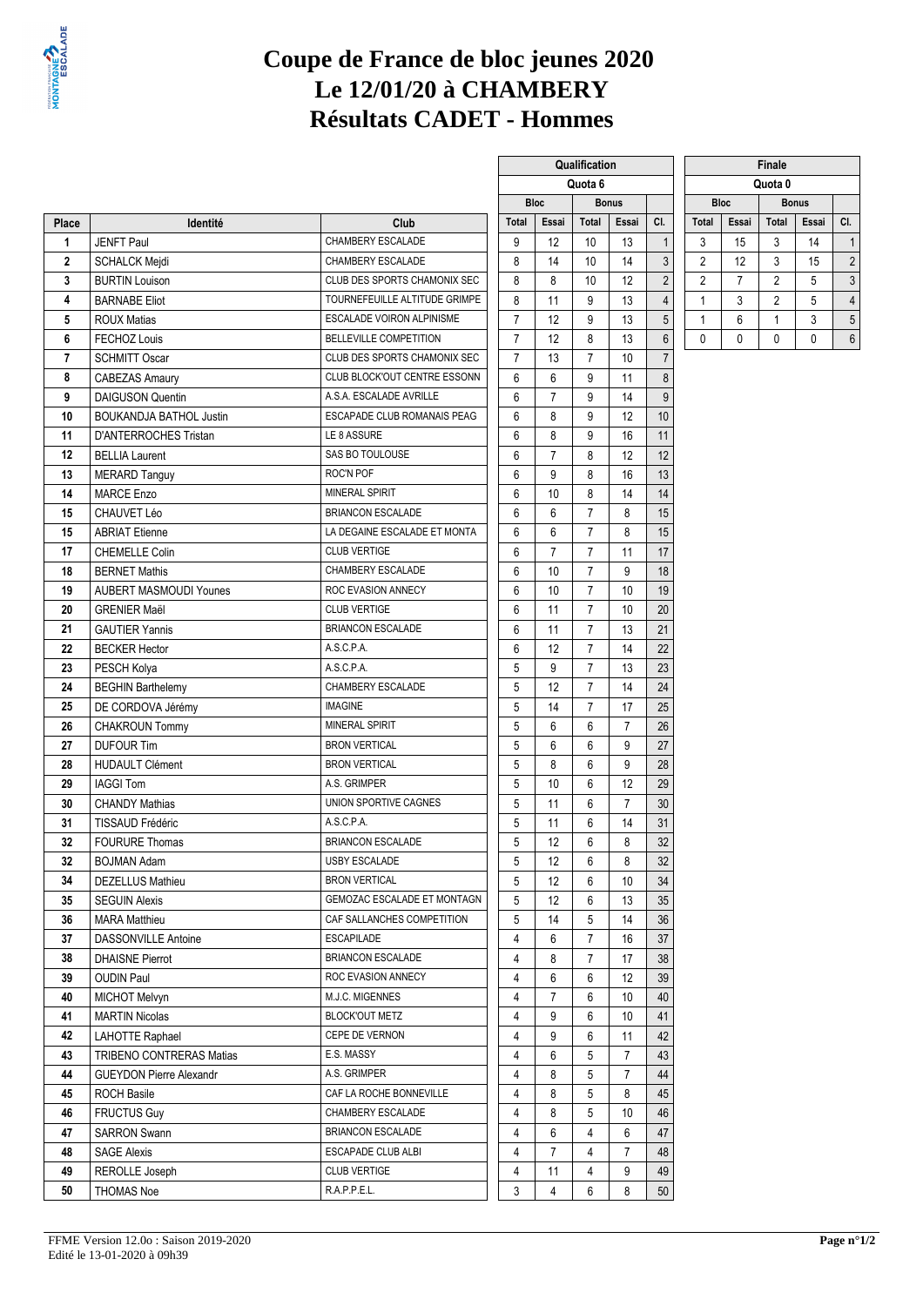

## **Coupe de France de bloc jeunes 2020 Le 12/01/20 à CHAMBERY Résultats CADET - Hommes**

**Qualification** 

|                |                                               |                               | Quota 6        |                | Quota 0        |                |                  |                |                |                |              |                |
|----------------|-----------------------------------------------|-------------------------------|----------------|----------------|----------------|----------------|------------------|----------------|----------------|----------------|--------------|----------------|
|                |                                               |                               |                | <b>Bloc</b>    |                | <b>Bonus</b>   |                  |                | <b>Bloc</b>    |                | <b>Bonus</b> |                |
| Place          | Identité                                      | Club                          | <b>Total</b>   | Essai          | Total          | Essai          | CI.              | <b>Total</b>   | Essai          | <b>Total</b>   | Essai        | CI.            |
| 1              | <b>JENFT Paul</b>                             | CHAMBERY ESCALADE             | 9              | 12             | 10             | 13             | $\mathbf{1}$     | 3              | 15             | 3              | 14           | $\overline{1}$ |
| $\mathbf 2$    | <b>SCHALCK Mejdi</b>                          | CHAMBERY ESCALADE             | 8              | 14             | 10             | 14             | $\sqrt{3}$       | $\overline{2}$ | 12             | 3              | 15           | $\overline{2}$ |
| 3              | <b>BURTIN Louison</b>                         | CLUB DES SPORTS CHAMONIX SEC  | 8              | 8              | 10             | 12             | $\overline{2}$   | $\overline{2}$ | $\overline{7}$ | $\overline{2}$ | 5            | 3              |
| 4              | <b>BARNABE Eliot</b>                          | TOURNEFEUILLE ALTITUDE GRIMPE | 8              | 11             | 9              | 13             | $\overline{4}$   | $\mathbf{1}$   | 3              | $\overline{2}$ | 5            | 4              |
| 5              | <b>ROUX Matias</b>                            | ESCALADE VOIRON ALPINISME     | $\overline{7}$ | 12             | 9              | 13             | 5                | $\mathbf{1}$   | 6              | 1              | 3            | 5              |
| 6              | FECHOZ Louis                                  | <b>BELLEVILLE COMPETITION</b> | $\overline{7}$ | 12             | 8              | 13             | $\boldsymbol{6}$ | 0              | $\mathbf{0}$   | $\mathbf{0}$   | 0            | 6              |
| $\overline{7}$ | <b>SCHMITT Oscar</b>                          | CLUB DES SPORTS CHAMONIX SEC  | 7              | 13             | $\overline{7}$ | 10             | $\overline{7}$   |                |                |                |              |                |
| 8              | <b>CABEZAS Amaury</b>                         | CLUB BLOCK'OUT CENTRE ESSONN  | 6              | 6              | 9              | 11             | $\bf 8$          |                |                |                |              |                |
| 9              | <b>DAIGUSON Quentin</b>                       | A.S.A. ESCALADE AVRILLE       | 6              | $\overline{7}$ | 9              | 14             | $\boldsymbol{9}$ |                |                |                |              |                |
| 10             | <b>BOUKANDJA BATHOL Justin</b>                | ESCAPADE CLUB ROMANAIS PEAG   | 6              | 8              | 9              | 12             | 10               |                |                |                |              |                |
| 11             | D'ANTERROCHES Tristan                         | LE 8 ASSURE                   | 6              | 8              | 9              | 16             | 11               |                |                |                |              |                |
| 12             | <b>BELLIA Laurent</b>                         | SAS BO TOULOUSE               | 6              | $\overline{7}$ | 8              | 12             | 12               |                |                |                |              |                |
| 13             | <b>MERARD Tanguy</b>                          | ROC'N POF                     | 6              | 9              | 8              | 16             | 13               |                |                |                |              |                |
| 14             | <b>MARCE Enzo</b>                             | <b>MINERAL SPIRIT</b>         | 6              | 10             | 8              | 14             | 14               |                |                |                |              |                |
| 15             | CHAUVET Léo                                   | <b>BRIANCON ESCALADE</b>      | 6              | 6              | $\overline{7}$ | 8              | 15               |                |                |                |              |                |
| 15             | <b>ABRIAT Etienne</b>                         | LA DEGAINE ESCALADE ET MONTA  | 6              | 6              | $\overline{7}$ | 8              | 15               |                |                |                |              |                |
| 17             | <b>CHEMELLE Colin</b>                         | <b>CLUB VERTIGE</b>           | 6              | $\overline{7}$ | $\overline{7}$ | 11             | 17               |                |                |                |              |                |
| 18             | <b>BERNET Mathis</b>                          | CHAMBERY ESCALADE             | 6              | 10             | $\overline{7}$ | 9              | 18               |                |                |                |              |                |
| 19             | <b>AUBERT MASMOUDI Younes</b>                 | ROC EVASION ANNECY            | 6              | 10             | $\overline{7}$ | 10             | 19               |                |                |                |              |                |
| 20             | <b>GRENIER Maël</b>                           | <b>CLUB VERTIGE</b>           | 6              | 11             | $\overline{7}$ | 10             | 20               |                |                |                |              |                |
| 21             | <b>GAUTIER Yannis</b>                         | <b>BRIANCON ESCALADE</b>      | 6              | 11             | $\overline{7}$ | 13             | 21               |                |                |                |              |                |
| 22             | <b>BECKER Hector</b>                          | A.S.C.P.A.                    | 6              | 12             | $\overline{7}$ | 14             | 22               |                |                |                |              |                |
| 23             | PESCH Kolya                                   | A.S.C.P.A.                    | 5              | 9              | $\overline{7}$ | 13             | 23               |                |                |                |              |                |
| 24             | <b>BEGHIN Barthelemy</b>                      | CHAMBERY ESCALADE             | 5              | 12             | $\overline{7}$ | 14             | 24               |                |                |                |              |                |
| 25             | DE CORDOVA Jérémy                             | <b>IMAGINE</b>                | 5              | 14             | $\overline{7}$ | 17             | 25               |                |                |                |              |                |
| 26             | <b>CHAKROUN Tommy</b>                         | <b>MINERAL SPIRIT</b>         | 5              | 6              | 6              | $\overline{7}$ | 26               |                |                |                |              |                |
| 27             | <b>DUFOUR Tim</b>                             | <b>BRON VERTICAL</b>          | 5              | 6              | 6              | 9              | 27               |                |                |                |              |                |
| 28             | <b>HUDAULT Clément</b>                        | <b>BRON VERTICAL</b>          | 5              | 8              | 6              | 9              | 28               |                |                |                |              |                |
| 29             | <b>IAGGI Tom</b>                              | A.S. GRIMPER                  | 5              | 10             | 6              | 12             | 29               |                |                |                |              |                |
| 30             | <b>CHANDY Mathias</b>                         | UNION SPORTIVE CAGNES         | 5              | 11             | 6              | $\overline{7}$ | 30               |                |                |                |              |                |
| 31             | <b>TISSAUD Frédéric</b>                       | A.S.C.P.A.                    | 5              | 11             | 6              | 14             | 31               |                |                |                |              |                |
| 32             | <b>FOURURE Thomas</b>                         | <b>BRIANCON ESCALADE</b>      | 5              | 12             | 6              | 8              | 32               |                |                |                |              |                |
| 32             |                                               | <b>USBY ESCALADE</b>          | 5              | 12             | 6              | 8              | 32               |                |                |                |              |                |
|                | <b>BOJMAN Adam</b><br><b>DEZELLUS Mathieu</b> | <b>BRON VERTICAL</b>          |                |                |                |                |                  |                |                |                |              |                |
| 34             |                                               | GEMOZAC ESCALADE ET MONTAGN   | 5              | 12             | 6              | 10             | 34               |                |                |                |              |                |
| 35             | <b>SEGUIN Alexis</b>                          |                               | 5              | 12             | 6              | 13             | 35               |                |                |                |              |                |
| 36             | <b>MARA Matthieu</b>                          | CAF SALLANCHES COMPETITION    | 5              | 14             | 5              | 14             | 36               |                |                |                |              |                |
| 37             | <b>DASSONVILLE Antoine</b>                    | <b>ESCAPILADE</b>             | 4              | 6              | $\overline{7}$ | 16             | 37               |                |                |                |              |                |
| 38             | <b>DHAISNE Pierrot</b>                        | <b>BRIANCON ESCALADE</b>      | 4              | 8              | $\overline{7}$ | 17             | 38               |                |                |                |              |                |
| 39             | <b>OUDIN Paul</b>                             | ROC EVASION ANNECY            | 4              | 6              | 6              | 12             | 39               |                |                |                |              |                |
| 40             | MICHOT Melvyn                                 | M.J.C. MIGENNES               | 4              | 7              | 6              | 10             | 40               |                |                |                |              |                |
| 41             | <b>MARTIN Nicolas</b>                         | <b>BLOCK'OUT METZ</b>         | 4              | 9              | 6              | 10             | 41               |                |                |                |              |                |
| 42             | <b>LAHOTTE Raphael</b>                        | CEPE DE VERNON                | 4              | 9              | 6              | 11             | 42               |                |                |                |              |                |
| 43             | TRIBENO CONTRERAS Matias                      | E.S. MASSY                    | 4              | 6              | 5              | 7              | 43               |                |                |                |              |                |
| 44             | <b>GUEYDON Pierre Alexandr</b>                | A.S. GRIMPER                  | 4              | 8              | 5              | $\overline{7}$ | 44               |                |                |                |              |                |
| 45             | <b>ROCH Basile</b>                            | CAF LA ROCHE BONNEVILLE       | 4              | 8              | 5              | 8              | 45               |                |                |                |              |                |
| 46             | <b>FRUCTUS Guy</b>                            | CHAMBERY ESCALADE             | 4              | 8              | 5              | 10             | 46               |                |                |                |              |                |
| 47             | <b>SARRON Swann</b>                           | <b>BRIANCON ESCALADE</b>      | 4              | 6              | 4              | 6              | 47               |                |                |                |              |                |
| 48             | <b>SAGE Alexis</b>                            | ESCAPADE CLUB ALBI            | 4              | 7              | 4              | 7              | 48               |                |                |                |              |                |
| 49             | REROLLE Joseph                                | <b>CLUB VERTIGE</b>           | 4              | 11             | 4              | 9              | 49               |                |                |                |              |                |
| 50             | <b>THOMAS Noe</b>                             | R.A.P.P.E.L.                  | 3              | 4              | 6              | 8              | 50               |                |                |                |              |                |

|                | <b>Finale</b> |                 |       |                |  |  |  |  |  |  |  |  |  |
|----------------|---------------|-----------------|-------|----------------|--|--|--|--|--|--|--|--|--|
| Quota 0        |               |                 |       |                |  |  |  |  |  |  |  |  |  |
|                | <b>Bloc</b>   | <b>Bonus</b>    |       |                |  |  |  |  |  |  |  |  |  |
| <b>Total</b>   | Essai         | Total           | Essai | CI.            |  |  |  |  |  |  |  |  |  |
| 3              | 15            | 3               | 14    |                |  |  |  |  |  |  |  |  |  |
| 2              | 12            | 3               | 15    | $\overline{c}$ |  |  |  |  |  |  |  |  |  |
| $\overline{2}$ | 7             | $\overline{2}$  | 5     | 3              |  |  |  |  |  |  |  |  |  |
|                | 3             | $\overline{2}$  | 5     | 4              |  |  |  |  |  |  |  |  |  |
|                | 6             |                 | 3     | 5              |  |  |  |  |  |  |  |  |  |
|                | Λ             | $\sqrt{2}$<br>Λ |       |                |  |  |  |  |  |  |  |  |  |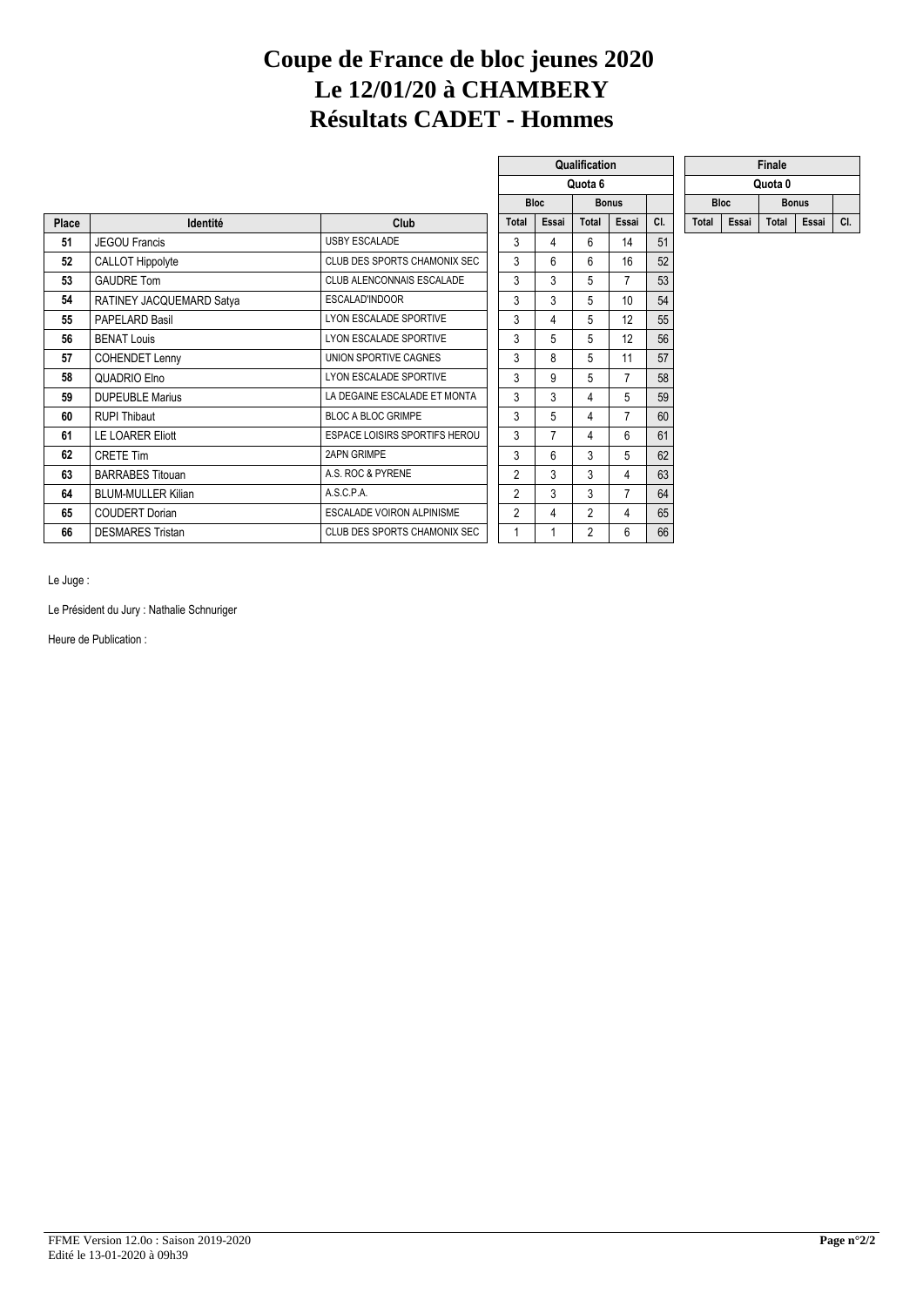## **Coupe de France de bloc jeunes 2020 Le 12/01/20 à CHAMBERY Résultats CADET - Hommes**

|              |                           |                                  |                |             | Quota 6        |                |     |       |             | Quota 0 |              |     |
|--------------|---------------------------|----------------------------------|----------------|-------------|----------------|----------------|-----|-------|-------------|---------|--------------|-----|
|              |                           |                                  |                | <b>Bloc</b> |                | <b>Bonus</b>   |     |       | <b>Bloc</b> |         | <b>Bonus</b> |     |
| <b>Place</b> | Identité                  | Club                             | <b>Total</b>   | Essai       | Total          | Essai          | CI. | Total | Essai       | Total   | Essai        | CI. |
| 51           | <b>JEGOU Francis</b>      | <b>USBY ESCALADE</b>             | 3              | 4           | 6              | 14             | 51  |       |             |         |              |     |
| 52           | <b>CALLOT Hippolyte</b>   | CLUB DES SPORTS CHAMONIX SEC     | 3              | 6           | 6              | 16             | 52  |       |             |         |              |     |
| 53           | <b>GAUDRE Tom</b>         | CLUB ALENCONNAIS ESCALADE        | 3              | 3           | 5              | 7              | 53  |       |             |         |              |     |
| 54           | RATINEY JACQUEMARD Satya  | ESCALAD'INDOOR                   | 3              | 3           | 5              | 10             | 54  |       |             |         |              |     |
| 55           | PAPELARD Basil            | LYON ESCALADE SPORTIVE           | 3              | 4           | 5              | 12             | 55  |       |             |         |              |     |
| 56           | <b>BENAT Louis</b>        | LYON ESCALADE SPORTIVE           | 3              | 5           | 5              | 12             | 56  |       |             |         |              |     |
| 57           | <b>COHENDET Lenny</b>     | UNION SPORTIVE CAGNES            | 3              | 8           | 5              | 11             | 57  |       |             |         |              |     |
| 58           | QUADRIO Elno              | LYON ESCALADE SPORTIVE           | 3              | 9           | 5              | 7              | 58  |       |             |         |              |     |
| 59           | <b>DUPEUBLE Marius</b>    | LA DEGAINE ESCALADE ET MONTA     | 3              | 3           | 4              | 5              | 59  |       |             |         |              |     |
| 60           | <b>RUPI Thibaut</b>       | <b>BLOC A BLOC GRIMPE</b>        | 3              | 5           | 4              | $\overline{7}$ | 60  |       |             |         |              |     |
| 61           | <b>LE LOARER Eliott</b>   | ESPACE LOISIRS SPORTIFS HEROU    | 3              |             | 4              | 6              | 61  |       |             |         |              |     |
| 62           | <b>CRETE Tim</b>          | <b>2APN GRIMPE</b>               | 3              | 6           | 3              | 5              | 62  |       |             |         |              |     |
| 63           | <b>BARRABES Titouan</b>   | A.S. ROC & PYRENE                | $\overline{2}$ | 3           | 3              | 4              | 63  |       |             |         |              |     |
| 64           | <b>BLUM-MULLER Kilian</b> | A.S.C.P.A.                       | 2              | 3           | 3              | 7              | 64  |       |             |         |              |     |
| 65           | <b>COUDERT Dorian</b>     | <b>ESCALADE VOIRON ALPINISME</b> | 2              | 4           | $\overline{2}$ | $\overline{4}$ | 65  |       |             |         |              |     |
| 66           | <b>DESMARES Tristan</b>   | CLUB DES SPORTS CHAMONIX SEC     |                |             | 2              | 6              | 66  |       |             |         |              |     |
|              |                           |                                  |                |             |                |                |     |       |             |         |              |     |

|                |                | Qualification  |                |     |              |       | Finale       |   |
|----------------|----------------|----------------|----------------|-----|--------------|-------|--------------|---|
|                |                | Quota 6        |                |     |              |       | Quota 0      |   |
|                | <b>Bloc</b>    |                | <b>Bonus</b>   |     | <b>Bloc</b>  |       | <b>Bonus</b> |   |
| Total          | Essai          | Total          | Essai          | CI. | <b>Total</b> | Essai | <b>Total</b> | E |
| 3              | 4              | 6              | 14             | 51  |              |       |              |   |
| 3              | 6              | 6              | 16             | 52  |              |       |              |   |
| 3              | 3              | 5              | $\overline{7}$ | 53  |              |       |              |   |
| 3              | 3              | 5              | 10             | 54  |              |       |              |   |
| 3              | 4              | 5              | 12             | 55  |              |       |              |   |
| 3              | 5              | 5              | 12             | 56  |              |       |              |   |
| 3              | 8              | 5              | 11             | 57  |              |       |              |   |
| 3              | 9              | 5              | $\overline{7}$ | 58  |              |       |              |   |
| 3              | 3              | 4              | 5              | 59  |              |       |              |   |
| 3              | 5              | 4              | 7              | 60  |              |       |              |   |
| 3              | $\overline{7}$ | 4              | 6              | 61  |              |       |              |   |
| 3              | 6              | 3              | 5              | 62  |              |       |              |   |
| $\overline{2}$ | 3              | 3              | 4              | 63  |              |       |              |   |
| $\overline{2}$ | 3              | 3              | 7              | 64  |              |       |              |   |
| $\overline{2}$ | 4              | $\overline{2}$ | 4              | 65  |              |       |              |   |
| 1              | 1              | $\overline{2}$ | 6              | 66  |              |       |              |   |
|                |                |                |                |     |              |       |              |   |

| ıalification |       |     |              |         | Finale       |       |     |
|--------------|-------|-----|--------------|---------|--------------|-------|-----|
| Quota 6      |       |     |              | Quota 0 |              |       |     |
| <b>Bonus</b> |       |     | <b>Bloc</b>  |         | <b>Bonus</b> |       |     |
| <b>Total</b> | Essai | CI. | <b>Total</b> | Essai   | <b>Total</b> | Essai | CI. |

Le Juge :

Le Président du Jury : Nathalie Schnuriger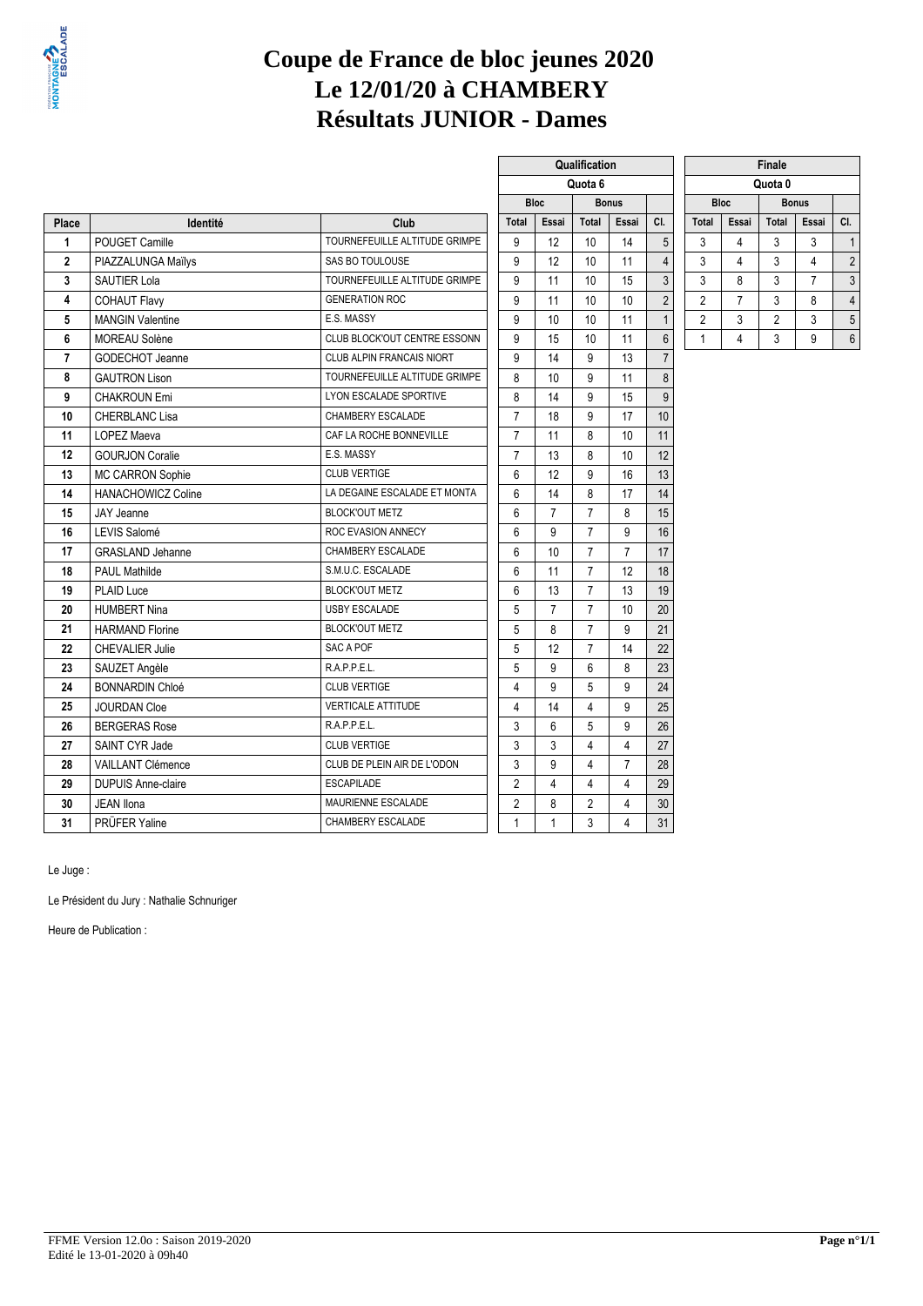

# **Coupe de France de bloc jeunes 2020 Le 12/01/20 à CHAMBERY Résultats JUNIOR - Dames**

**Qualification** 

|                         |                           |                                  |                |             |                | Quota 6        |                |                |                |                | Quota 0        |                |                |
|-------------------------|---------------------------|----------------------------------|----------------|-------------|----------------|----------------|----------------|----------------|----------------|----------------|----------------|----------------|----------------|
|                         |                           |                                  |                | <b>Bloc</b> |                |                | <b>Bonus</b>   |                |                | <b>Bloc</b>    |                | <b>Bonus</b>   |                |
| Place                   | Identité                  | Club                             | <b>Total</b>   |             | Essai          | <b>Total</b>   | Essai          | CI.            | <b>Total</b>   | Essai          | <b>Total</b>   | Essai          | CI.            |
| $\mathbf{1}$            | POUGET Camille            | TOURNEFEUILLE ALTITUDE GRIMPE    | 9              |             | 12             | 10             | 14             | 5              | 3              | 4              | 3              | 3              | $\overline{1}$ |
| $\overline{\mathbf{2}}$ | PIAZZALUNGA Maïlys        | SAS BO TOULOUSE                  | 9              |             | 12             | 10             | 11             | $\overline{4}$ | 3              | 4              | 3              | 4              | $\overline{2}$ |
| 3                       | <b>SAUTIER Lola</b>       | TOURNEFEUILLE ALTITUDE GRIMPE    | 9              |             | 11             | 10             | 15             | 3              | 3              | 8              | 3              | $\overline{7}$ | 3              |
| 4                       | <b>COHAUT Flavy</b>       | <b>GENERATION ROC</b>            | 9              |             | 11             | 10             | 10             | $\overline{2}$ | $\overline{2}$ | $\overline{7}$ | 3              | 8              | $\overline{4}$ |
| 5                       | <b>MANGIN Valentine</b>   | E.S. MASSY                       | 9              |             | 10             | 10             | 11             | $\mathbf{1}$   | $\overline{2}$ | 3              | $\overline{2}$ | 3              | 5              |
| 6                       | <b>MOREAU Solène</b>      | CLUB BLOCK'OUT CENTRE ESSONN     | 9              |             | 15             | 10             | 11             | $6\phantom{1}$ | $\mathbf{1}$   | 4              | 3              | 9              | 6              |
| $\overline{7}$          | GODECHOT Jeanne           | <b>CLUB ALPIN FRANCAIS NIORT</b> | 9              |             | 14             | 9              | 13             | $\overline{7}$ |                |                |                |                |                |
| 8                       | <b>GAUTRON Lison</b>      | TOURNEFEUILLE ALTITUDE GRIMPE    | 8              |             | 10             | 9              | 11             | 8              |                |                |                |                |                |
| 9                       | <b>CHAKROUN Emi</b>       | LYON ESCALADE SPORTIVE           | 8              |             | 14             | 9              | 15             | $\overline{9}$ |                |                |                |                |                |
| 10                      | <b>CHERBLANC Lisa</b>     | CHAMBERY ESCALADE                | $\overline{7}$ |             | 18             | 9              | 17             | 10             |                |                |                |                |                |
| 11                      | <b>LOPEZ Maeva</b>        | CAF LA ROCHE BONNEVILLE          | $\overline{7}$ |             | 11             | 8              | 10             | 11             |                |                |                |                |                |
| 12                      | <b>GOURJON Coralie</b>    | E.S. MASSY                       | $\overline{7}$ |             | 13             | 8              | 10             | 12             |                |                |                |                |                |
| 13                      | MC CARRON Sophie          | <b>CLUB VERTIGE</b>              | 6              |             | 12             | 9              | 16             | 13             |                |                |                |                |                |
| 14                      | <b>HANACHOWICZ Coline</b> | LA DEGAINE ESCALADE ET MONTA     | 6              |             | 14             | 8              | 17             | 14             |                |                |                |                |                |
| 15                      | <b>JAY Jeanne</b>         | <b>BLOCK'OUT METZ</b>            | 6              |             | $\overline{7}$ | $\overline{7}$ | 8              | 15             |                |                |                |                |                |
| 16                      | LEVIS Salomé              | ROC EVASION ANNECY               | 6              |             | 9              | $\overline{7}$ | 9              | 16             |                |                |                |                |                |
| 17                      | <b>GRASLAND Jehanne</b>   | CHAMBERY ESCALADE                | 6              |             | 10             | $\overline{7}$ | $\overline{7}$ | 17             |                |                |                |                |                |
| 18                      | <b>PAUL Mathilde</b>      | S.M.U.C. ESCALADE                | 6              |             | 11             | $\overline{7}$ | 12             | 18             |                |                |                |                |                |
| 19                      | <b>PLAID Luce</b>         | <b>BLOCK'OUT METZ</b>            | 6              |             | 13             | $\overline{7}$ | 13             | 19             |                |                |                |                |                |
| 20                      | <b>HUMBERT Nina</b>       | USBY ESCALADE                    | 5              |             | $\overline{7}$ | $\overline{7}$ | 10             | 20             |                |                |                |                |                |
| 21                      | <b>HARMAND Florine</b>    | <b>BLOCK'OUT METZ</b>            | 5              |             | 8              | $\overline{7}$ | 9              | 21             |                |                |                |                |                |
| 22                      | <b>CHEVALIER Julie</b>    | SAC A POF                        | 5              |             | 12             | $\overline{7}$ | 14             | 22             |                |                |                |                |                |
| 23                      | SAUZET Angèle             | R.A.P.P.E.L.                     | 5              |             | 9              | 6              | 8              | 23             |                |                |                |                |                |
| 24                      | <b>BONNARDIN Chloé</b>    | <b>CLUB VERTIGE</b>              | 4              |             | 9              | 5              | 9              | 24             |                |                |                |                |                |
| 25                      | <b>JOURDAN Cloe</b>       | <b>VERTICALE ATTITUDE</b>        | 4              |             | 14             | $\overline{4}$ | 9              | 25             |                |                |                |                |                |
| 26                      | <b>BERGERAS Rose</b>      | R.A.P.P.E.L.                     | 3              |             | 6              | 5              | 9              | 26             |                |                |                |                |                |
| 27                      | SAINT CYR Jade            | <b>CLUB VERTIGE</b>              | 3              |             | 3              | 4              | $\overline{4}$ | 27             |                |                |                |                |                |
| 28                      | <b>VAILLANT Clémence</b>  | CLUB DE PLEIN AIR DE L'ODON      | 3              |             | 9              | 4              | $\overline{7}$ | 28             |                |                |                |                |                |
| 29                      | <b>DUPUIS Anne-claire</b> | <b>ESCAPILADE</b>                | $\overline{2}$ |             | $\overline{4}$ | $\overline{4}$ | $\overline{4}$ | 29             |                |                |                |                |                |
| 30                      | <b>JEAN Ilona</b>         | MAURIENNE ESCALADE               | $\overline{2}$ |             | 8              | $\overline{2}$ | 4              | 30             |                |                |                |                |                |
| 31                      | PRÜFER Yaline             | CHAMBERY ESCALADE                | $\mathbf{1}$   |             | $\mathbf{1}$   | 3              | 4              | 31             |                |                |                |                |                |
|                         |                           |                                  |                |             |                |                |                |                |                |                |                |                |                |

| <b>Finale</b>  |             |                       |              |                |  |  |  |  |  |  |  |
|----------------|-------------|-----------------------|--------------|----------------|--|--|--|--|--|--|--|
|                |             | Quota 0               |              |                |  |  |  |  |  |  |  |
|                | <b>Bloc</b> |                       | <b>Bonus</b> |                |  |  |  |  |  |  |  |
| <b>Total</b>   | Essai       | <b>Total</b><br>Essai |              |                |  |  |  |  |  |  |  |
| 3              |             | 3                     | 3            |                |  |  |  |  |  |  |  |
| 3              |             | 3                     |              | $\overline{2}$ |  |  |  |  |  |  |  |
| 3              | 8           | 3                     | 7            | 3              |  |  |  |  |  |  |  |
| $\overline{2}$ |             | 3                     | 8            | $\overline{4}$ |  |  |  |  |  |  |  |
| $\overline{2}$ | 3           | 2                     | 3            | 5              |  |  |  |  |  |  |  |
|                |             | 3                     | 9            | 6              |  |  |  |  |  |  |  |

Le Juge :

Le Président du Jury : Nathalie Schnuriger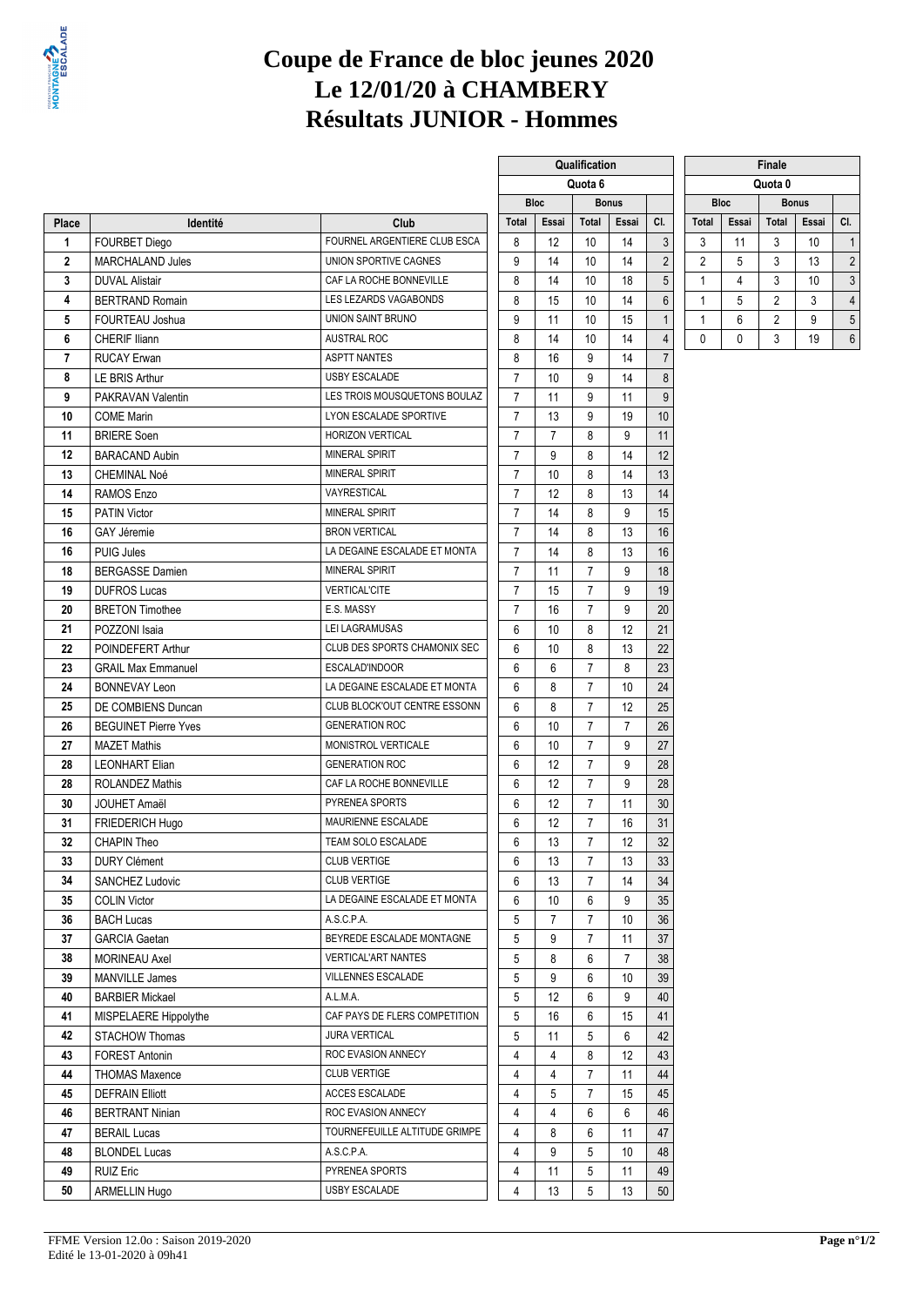

# **Coupe de France de bloc jeunes 2020 Le 12/01/20 à CHAMBERY Résultats JUNIOR - Hommes**

|                |                             |                               | Quota o        |                   |                | Quota v      |                  |              |             |                |              |                |
|----------------|-----------------------------|-------------------------------|----------------|-------------------|----------------|--------------|------------------|--------------|-------------|----------------|--------------|----------------|
|                |                             |                               |                | <b>Bloc</b>       |                | <b>Bonus</b> |                  |              | <b>Bloc</b> |                | <b>Bonus</b> |                |
| Place          | Identité                    | Club                          | Total          | Essai             | Total          | Essai        | CI.              | <b>Total</b> | Essai       | Total          | Essai        | CI.            |
| 1              | <b>FOURBET Diego</b>        | FOURNEL ARGENTIERE CLUB ESCA  | 8              | 12                | 10             | 14           | $\sqrt{3}$       | 3            | 11          | 3              | 10           | $\overline{1}$ |
| $\overline{2}$ | <b>MARCHALAND Jules</b>     | UNION SPORTIVE CAGNES         | 9              | 14                | 10             | 14           | $\overline{2}$   | 2            | 5           | 3              | 13           | $\overline{2}$ |
| 3              | <b>DUVAL Alistair</b>       | CAF LA ROCHE BONNEVILLE       | 8              | 14                | 10             | 18           | 5                | 1            | 4           | 3              | 10           | 3              |
| 4              | <b>BERTRAND Romain</b>      | LES LEZARDS VAGABONDS         | 8              | 15                | 10             | 14           | $\boldsymbol{6}$ | $\mathbf{1}$ | 5           | $\overline{2}$ | 3            | $\overline{4}$ |
| 5              | FOURTEAU Joshua             | UNION SAINT BRUNO             | 9              | 11                | 10             | 15           | $\mathbf{1}$     | $\mathbf{1}$ | 6           | $\overline{2}$ | 9            | 5              |
| 6              | <b>CHERIF Iliann</b>        | <b>AUSTRAL ROC</b>            | 8              | 14                | 10             | 14           | $\overline{4}$   | $\mathbf 0$  | 0           | 3              | 19           | 6              |
| $\overline{7}$ | <b>RUCAY Erwan</b>          | <b>ASPTT NANTES</b>           | 8              | 16                | 9              | 14           | $\overline{7}$   |              |             |                |              |                |
| 8              | LE BRIS Arthur              | <b>USBY ESCALADE</b>          | $\overline{7}$ | 10                | 9              | 14           | 8                |              |             |                |              |                |
| 9              | PAKRAVAN Valentin           | LES TROIS MOUSQUETONS BOULAZ  | $\overline{7}$ | 11                | 9              | 11           | 9                |              |             |                |              |                |
| 10             | <b>COME Marin</b>           | LYON ESCALADE SPORTIVE        | $\overline{7}$ | 13                | 9              | 19           | $10$             |              |             |                |              |                |
| 11             | <b>BRIERE</b> Soen          | HORIZON VERTICAL              | $\overline{7}$ | $\overline{7}$    | 8              | 9            | 11               |              |             |                |              |                |
| 12             | <b>BARACAND Aubin</b>       | <b>MINERAL SPIRIT</b>         | $\overline{7}$ | 9                 | 8              | 14           | 12               |              |             |                |              |                |
| 13             | CHEMINAL Noé                | MINERAL SPIRIT                | $\overline{7}$ | 10                | 8              | 14           | 13               |              |             |                |              |                |
| 14             | RAMOS Enzo                  | VAYRESTICAL                   | $\overline{7}$ | $12 \overline{ }$ | 8              | 13           | 14               |              |             |                |              |                |
| 15             | <b>PATIN Victor</b>         | MINERAL SPIRIT                | $\overline{7}$ | 14                | 8              | 9            | 15               |              |             |                |              |                |
| 16             | GAY Jéremie                 | <b>BRON VERTICAL</b>          | $\overline{7}$ | 14                | 8              | 13           | 16               |              |             |                |              |                |
| 16             | <b>PUIG Jules</b>           | LA DEGAINE ESCALADE ET MONTA  | $\overline{7}$ | 14                | 8              | 13           | 16               |              |             |                |              |                |
| 18             | <b>BERGASSE Damien</b>      | <b>MINERAL SPIRIT</b>         | $\overline{7}$ | 11                | $\overline{7}$ | 9            | 18               |              |             |                |              |                |
| 19             | <b>DUFROS Lucas</b>         | <b>VERTICAL'CITE</b>          | $\overline{7}$ | 15                | 7              | 9            | 19               |              |             |                |              |                |
| 20             | <b>BRETON Timothee</b>      | E.S. MASSY                    | $\overline{7}$ | 16                | $\overline{7}$ | 9            | 20               |              |             |                |              |                |
| 21             | POZZONI Isaia               | LEI LAGRAMUSAS                | 6              | 10                | 8              | 12           | 21               |              |             |                |              |                |
| 22             | POINDEFERT Arthur           | CLUB DES SPORTS CHAMONIX SEC  | 6              | 10                | 8              | 13           | 22               |              |             |                |              |                |
| 23             | <b>GRAIL Max Emmanuel</b>   | ESCALAD'INDOOR                | 6              | 6                 | $\overline{7}$ | 8            | 23               |              |             |                |              |                |
| 24             | <b>BONNEVAY Leon</b>        | LA DEGAINE ESCALADE ET MONTA  | 6              | 8                 | $\overline{7}$ | 10           | 24               |              |             |                |              |                |
| 25             | DE COMBIENS Duncan          | CLUB BLOCK'OUT CENTRE ESSONN  | 6              | 8                 | 7              | 12           | 25               |              |             |                |              |                |
| 26             | <b>BEGUINET Pierre Yves</b> | <b>GENERATION ROC</b>         | 6              | 10                | $\overline{7}$ | 7            | 26               |              |             |                |              |                |
| 27             | <b>MAZET Mathis</b>         | MONISTROL VERTICALE           | 6              | 10                | 7              | 9            | 27               |              |             |                |              |                |
| 28             | <b>LEONHART Elian</b>       | <b>GENERATION ROC</b>         | 6              | 12                | 7              | 9            | 28               |              |             |                |              |                |
| 28             | <b>ROLANDEZ Mathis</b>      | CAF LA ROCHE BONNEVILLE       | 6              | $12 \overline{ }$ | $\overline{7}$ | 9            | 28               |              |             |                |              |                |
| 30             | <b>JOUHET Amaël</b>         | PYRENEA SPORTS                | 6              | 12                | $\overline{7}$ | 11           | 30               |              |             |                |              |                |
| 31             | FRIEDERICH Hugo             | MAURIENNE ESCALADE            | 6              | 12                | $\overline{7}$ | 16           | 31               |              |             |                |              |                |
| 32             | <b>CHAPIN Theo</b>          | TEAM SOLO ESCALADE            | 6              | 13                | $\overline{7}$ | 12           | 32               |              |             |                |              |                |
| 33             | <b>DURY Clément</b>         | <b>CLUB VERTIGE</b>           | 6              | 13                | 7              | 13           | 33               |              |             |                |              |                |
| 34             | SANCHEZ Ludovic             | CLUB VERTIGE                  | 6              | 13                | 7 <sup>7</sup> | 14           | 34               |              |             |                |              |                |
| 35             | <b>COLIN Victor</b>         | LA DEGAINE ESCALADE ET MONTA  | 6              | 10                | 6              | 9            | 35               |              |             |                |              |                |
| 36             | <b>BACH Lucas</b>           | A.S.C.P.A.                    | 5              | $\overline{7}$    | 7              | 10           | 36               |              |             |                |              |                |
| 37             | <b>GARCIA Gaetan</b>        | BEYREDE ESCALADE MONTAGNE     | 5              | 9                 | $\overline{7}$ | 11           | 37               |              |             |                |              |                |
| 38             | MORINEAU Axel               | <b>VERTICAL'ART NANTES</b>    | 5              | 8                 | 6              | 7            | 38               |              |             |                |              |                |
| 39             | MANVILLE James              | VILLENNES ESCALADE            | 5              | 9                 | 6              | 10           | 39               |              |             |                |              |                |
| 40             | <b>BARBIER Mickael</b>      | A.L.M.A.                      | 5              | 12                | 6              | 9            | 40               |              |             |                |              |                |
| 41             | MISPELAERE Hippolythe       | CAF PAYS DE FLERS COMPETITION | 5              | 16                | 6              | 15           | 41               |              |             |                |              |                |
| 42             | STACHOW Thomas              | <b>JURA VERTICAL</b>          | 5              | 11                | 5              | 6            | 42               |              |             |                |              |                |
| 43             | FOREST Antonin              | ROC EVASION ANNECY            | 4              | 4                 | 8              | 12           | 43               |              |             |                |              |                |
| 44             | <b>THOMAS Maxence</b>       | CLUB VERTIGE                  | 4              | 4                 | 7              | 11           | 44               |              |             |                |              |                |
| 45             | <b>DEFRAIN Elliott</b>      | ACCES ESCALADE                | 4              | 5                 | $\overline{7}$ | 15           | 45               |              |             |                |              |                |
| 46             | <b>BERTRANT Ninian</b>      | ROC EVASION ANNECY            | 4              | 4                 | 6              | 6            | 46               |              |             |                |              |                |
| 47             | <b>BERAIL Lucas</b>         | TOURNEFEUILLE ALTITUDE GRIMPE | 4              | 8                 | 6              | 11           | 47               |              |             |                |              |                |
| 48             | <b>BLONDEL Lucas</b>        | A.S.C.P.A.                    | 4              | 9                 | 5              | 10           | 48               |              |             |                |              |                |
| 49             | <b>RUIZ Eric</b>            | PYRENEA SPORTS                | 4              | 11                | 5              | 11           | 49               |              |             |                |              |                |
| 50             | ARMELLIN Hugo               | USBY ESCALADE                 | 4              | 13                | 5              | 13           | 50               |              |             |                |              |                |

|                |       | Qualification |              |                | Finale         |             |                |   |
|----------------|-------|---------------|--------------|----------------|----------------|-------------|----------------|---|
|                |       | Quota 6       |              |                |                | Quota 0     |                |   |
|                | Bloc  |               | <b>Bonus</b> |                |                | <b>Bloc</b> | <b>Bonus</b>   |   |
| <b>Total</b>   | Essai | Total         | Essai        | CI.            | Total          | Essai       | Total          | Е |
| 8              | 12    | 10            | 14           | 3              | 3              | 11          | 3              |   |
| 9              | 14    | 10            | 14           | 2              | $\overline{2}$ | 5           | 3              |   |
| 8              | 14    | 10            | 18           | 5              | 1              | 4           | 3              |   |
| 8              | 15    | 10            | 14           | 6              | 1              | 5           | $\overline{2}$ |   |
| 9              | 11    | $10$          | 15           | $\mathbf{1}$   | 1              | 6           | 2              |   |
| 8              | 14    | 10            | 14           | $\overline{4}$ | 0              | 0           | 3              |   |
| 8              | 16    | 9             | 14           | 7              |                |             |                |   |
| 7              | 10    | 9             | 14           | 8              |                |             |                |   |
| 7              | 11    | 9             | 11           | 9              |                |             |                |   |
| 7              | 13    | 9             | 19           | 10             |                |             |                |   |
| 7              | 7     | 8             | 9            | 11             |                |             |                |   |
| 7              | 9     | 8             | 14           | 12             |                |             |                |   |
| 7              | 10    | 8             | 14           | 13             |                |             |                |   |
| 7              | 12    | 8             | 13           | 14             |                |             |                |   |
| 7              | 14    | 8             | 9            | 15             |                |             |                |   |
| 7              | 14    | 8             | 13           | 16             |                |             |                |   |
| 7              | 14    | 8             | 13           | 16             |                |             |                |   |
| 7              | 11    | 7             | 9            | 18             |                |             |                |   |
| 7              | 15    | 7             | 9            | 19             |                |             |                |   |
| $\overline{7}$ | 16    | 7             | 9            | 20             |                |             |                |   |
| 6              | 10    | 8             | 12           | 21             |                |             |                |   |
| 6              | 10    | 8             | 13           | 22             |                |             |                |   |
| 6              | 6     | 7             | 8            | 23             |                |             |                |   |
| 6              | 8     | 7             | 10           | 24             |                |             |                |   |
| 6              | 8     | 7             | 12           | 25             |                |             |                |   |
| 6              | 10    | 7             | 7            | 26             |                |             |                |   |
| 6              | 10    | 7             | 9            | 27             |                |             |                |   |
| 6              | 12    | 7             | 9            | 28             |                |             |                |   |
| 6              | 12    | 7             | 9            | 28             |                |             |                |   |
| 6              | 12    | 7             | 11           | 30             |                |             |                |   |
| 6              | 12    | 7             | 16           | 31             |                |             |                |   |
| 6              | 13    | 7             | 12           | 32             |                |             |                |   |
| 6              | 13    | 7             | 13           | 33             |                |             |                |   |
| 6              | 13    | 7             | 14           | 34             |                |             |                |   |
| 6              | 10    | 6             | 9            | 35             |                |             |                |   |
| 5              | 7     | 7             | 10           | 36             |                |             |                |   |
| 5              | 9     | 7             | 11           | 37             |                |             |                |   |
| 5              | 8     | 6             | 7            | 38             |                |             |                |   |
| 5              | 9     | 6             | 10           | 39             |                |             |                |   |
| 5              | 12    | 6             | 9            | 40             |                |             |                |   |
| 5              | 16    | 6             | 15           | 41             |                |             |                |   |
| 5              | 11    | 5             | 6            | 42             |                |             |                |   |
| 4              | 4     | 8             | 12           | 43             |                |             |                |   |
| 4              | 4     | 7             | 11           | 44             |                |             |                |   |
| 4              | 5     | 7             | 15           | 45             |                |             |                |   |
|                |       |               |              |                |                |             |                |   |

| <b>Finale</b> |                             |                |       |                |  |  |  |  |  |
|---------------|-----------------------------|----------------|-------|----------------|--|--|--|--|--|
| Quota 0       |                             |                |       |                |  |  |  |  |  |
|               | <b>Bloc</b><br><b>Bonus</b> |                |       |                |  |  |  |  |  |
| <b>Total</b>  | Essai                       | Total          | Essai | CI.            |  |  |  |  |  |
| 3             | 11                          | 3              | 10    |                |  |  |  |  |  |
| 2             | 5                           | 3              | 13    | $\overline{2}$ |  |  |  |  |  |
|               |                             | 3              | 10    | 3              |  |  |  |  |  |
|               | 5                           | $\overline{2}$ | 3     | 4              |  |  |  |  |  |
|               | 6                           |                | 9     | 5              |  |  |  |  |  |
|               |                             | 3              | 19    | 6              |  |  |  |  |  |